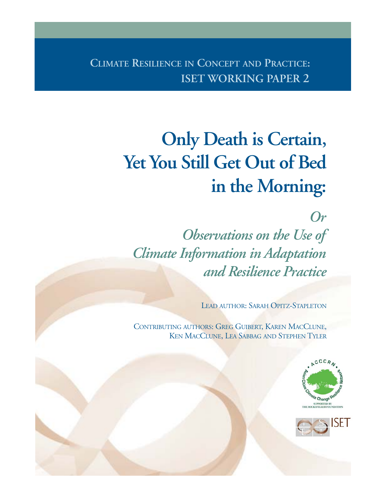**CLIMATE RESILIENCE IN CONCEPT AND PRACTICE: ISET WORKING PAPER 2**

# **Only Death is Certain, Yet You Still Get Out of Bed in the Morning:**

*Or*

*Observations on the Use of Climate Information in Adaptation and Resilience Practice*

LEAD AUTHOR: SARAH OPITZ-STAPLETON

CONTRIBUTING AUTHORS: GREG GUIBERT, KAREN MACCLUNE, KEN MACCLUNE, LEA SABBAG AND STEPHEN TYLER



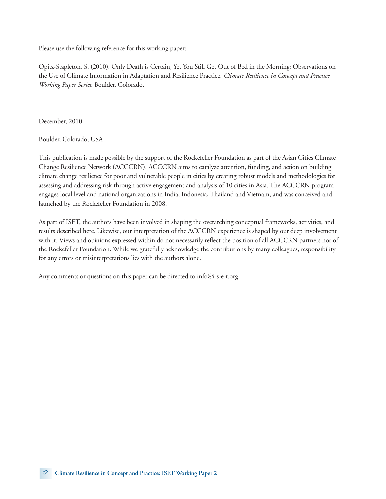Please use the following reference for this working paper:

Opitz-Stapleton, S. (2010). Only Death is Certain, Yet You Still Get Out of Bed in the Morning: Observations on the Use of Climate Information in Adaptation and Resilience Practice. *Climate Resilience in Concept and Practice Working Paper Series*. Boulder, Colorado.

December, 2010

Boulder, Colorado, USA

This publication is made possible by the support of the Rockefeller Foundation as part of the Asian Cities Climate Change Resilience Network (ACCCRN). ACCCRN aims to catalyze attention, funding, and action on building climate change resilience for poor and vulnerable people in cities by creating robust models and methodologies for assessing and addressing risk through active engagement and analysis of 10 cities in Asia. The ACCCRN program engages local level and national organizations in India, Indonesia, Thailand and Vietnam, and was conceived and launched by the Rockefeller Foundation in 2008.

As part of ISET, the authors have been involved in shaping the overarching conceptual frameworks, activities, and results described here. Likewise, our interpretation of the ACCCRN experience is shaped by our deep involvement with it. Views and opinions expressed within do not necessarily reflect the position of all ACCCRN partners nor of the Rockefeller Foundation. While we gratefully acknowledge the contributions by many colleagues, responsibility for any errors or misinterpretations lies with the authors alone.

Any comments or questions on this paper can be directed to info@i-s-e-t.org.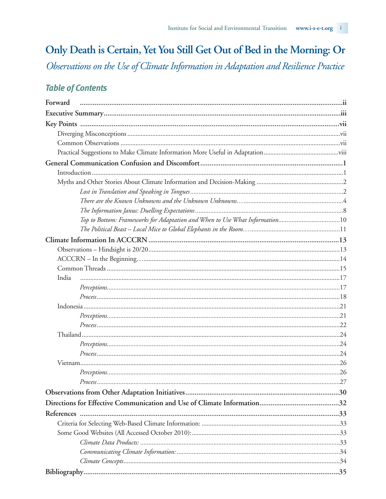# Only Death is Certain, Yet You Still Get Out of Bed in the Morning: Or

Observations on the Use of Climate Information in Adaptation and Resilience Practice

# **Table of Contents**

| Forward                                                                     |  |
|-----------------------------------------------------------------------------|--|
|                                                                             |  |
|                                                                             |  |
|                                                                             |  |
|                                                                             |  |
|                                                                             |  |
|                                                                             |  |
|                                                                             |  |
|                                                                             |  |
|                                                                             |  |
|                                                                             |  |
|                                                                             |  |
| Top to Bottom: Frameworks for Adaptation and When to Use What Information10 |  |
|                                                                             |  |
|                                                                             |  |
|                                                                             |  |
|                                                                             |  |
|                                                                             |  |
| India                                                                       |  |
|                                                                             |  |
|                                                                             |  |
|                                                                             |  |
|                                                                             |  |
|                                                                             |  |
|                                                                             |  |
|                                                                             |  |
|                                                                             |  |
|                                                                             |  |
|                                                                             |  |
|                                                                             |  |
|                                                                             |  |
|                                                                             |  |
|                                                                             |  |
|                                                                             |  |
|                                                                             |  |
|                                                                             |  |
|                                                                             |  |
|                                                                             |  |
|                                                                             |  |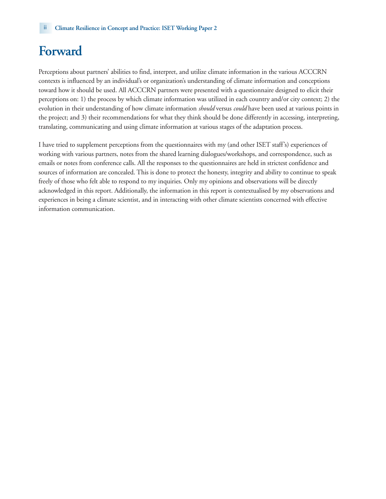# **Forward**

Perceptions about partners' abilities to find, interpret, and utilize climate information in the various ACCCRN contexts is influenced by an individual's or organization's understanding of climate information and conceptions toward how it should be used. All ACCCRN partners were presented with a questionnaire designed to elicit their perceptions on: 1) the process by which climate information was utilized in each country and/or city context; 2) the evolution in their understanding of how climate information *should* versus *could* have been used at various points in the project; and 3) their recommendations for what they think should be done differently in accessing, interpreting, translating, communicating and using climate information at various stages of the adaptation process.

I have tried to supplement perceptions from the questionnaires with my (and other ISET staff's) experiences of working with various partners, notes from the shared learning dialogues/workshops, and correspondence, such as emails or notes from conference calls. All the responses to the questionnaires are held in strictest confidence and sources of information are concealed. This is done to protect the honesty, integrity and ability to continue to speak freely of those who felt able to respond to my inquiries. Only my opinions and observations will be directly acknowledged in this report. Additionally, the information in this report is contextualised by my observations and experiences in being a climate scientist, and in interacting with other climate scientists concerned with effective information communication.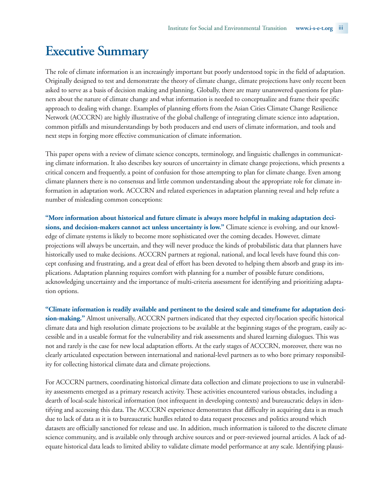# **Executive Summary**

The role of climate information is an increasingly important but poorly understood topic in the field of adaptation. Originally designed to test and demonstrate the theory of climate change, climate projections have only recent been asked to serve as a basis of decision making and planning. Globally, there are many unanswered questions for planners about the nature of climate change and what information is needed to conceptualize and frame their specific approach to dealing with change. Examples of planning efforts from the Asian Cities Climate Change Resilience Network (ACCCRN) are highly illustrative of the global challenge of integrating climate science into adaptation, common pitfalls and misunderstandings by both producers and end users of climate information, and tools and next steps in forging more effective communication of climate information.

This paper opens with a review of climate science concepts, terminology, and linguistic challenges in communicating climate information. It also describes key sources of uncertainty in climate change projections, which presents a critical concern and frequently, a point of confusion for those attempting to plan for climate change. Even among climate planners there is no consensus and little common understanding about the appropriate role for climate information in adaptation work. ACCCRN and related experiences in adaptation planning reveal and help refute a number of misleading common conceptions:

**"More information about historical and future climate is always more helpful in making adaptation decisions, and decision-makers cannot act unless uncertainty is low."** Climate science is evolving, and our knowledge of climate systems is likely to become more sophisticated over the coming decades. However, climate projections will always be uncertain, and they will never produce the kinds of probabilistic data that planners have historically used to make decisions. ACCCRN partners at regional, national, and local levels have found this concept confusing and frustrating, and a great deal of effort has been devoted to helping them absorb and grasp its implications. Adaptation planning requires comfort with planning for a number of possible future conditions, acknowledging uncertainty and the importance of multi-criteria assessment for identifying and prioritizing adaptation options.

**"Climate information is readily available and pertinent to the desired scale and timeframe for adaptation decision-making."** Almost universally, ACCCRN partners indicated that they expected city/location specific historical climate data and high resolution climate projections to be available at the beginning stages of the program, easily accessible and in a useable format for the vulnerability and risk assessments and shared learning dialogues. This was not and rarely is the case for new local adaptation efforts. At the early stages of ACCCRN, moreover, there was no clearly articulated expectation between international and national-level partners as to who bore primary responsibility for collecting historical climate data and climate projections.

For ACCCRN partners, coordinating historical climate data collection and climate projections to use in vulnerability assessments emerged as a primary research activity. These activities encountered various obstacles, including a dearth of local-scale historical information (not infrequent in developing contexts) and bureaucratic delays in identifying and accessing this data. The ACCCRN experience demonstrates that difficulty in acquiring data is as much due to lack of data as it is to bureaucratic hurdles related to data request processes and politics around which datasets are officially sanctioned for release and use. In addition, much information is tailored to the discrete climate science community, and is available only through archive sources and or peer-reviewed journal articles. A lack of adequate historical data leads to limited ability to validate climate model performance at any scale. Identifying plausi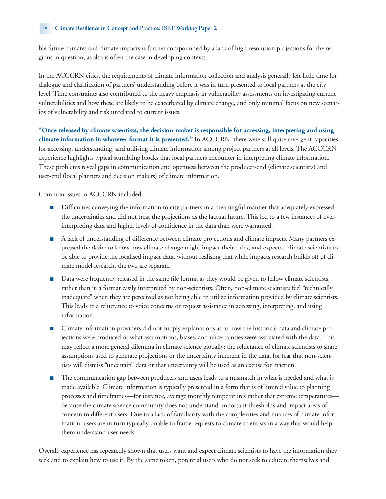ble future climates and climate impacts is further compounded by a lack of high-resolution projections for the regions in question, as also is often the case in developing contexts.

In the ACCCRN cities, the requirements of climate information collection and analysis generally left little time for dialogue and clarification of partners' understanding before it was in turn presented to local partners at the city level. Time constraints also contributed to the heavy emphasis in vulnerability assessments on investigating current vulnerabilities and how these are likely to be exacerbated by climate change, and only minimal focus on new scenarios of vulnerability and risk unrelated to current issues.

**"Once released by climate scientists, the decision-maker is responsible for accessing, interpreting and using climate information in whatever format it is presented."** In ACCCRN, there were still quite divergent capacities for accessing, understanding, and utilising climate information among project partners at all levels. The ACCCRN experience highlights typical stumbling blocks that local partners encounter in interpreting climate information. These problems reveal gaps in communication and openness between the producer-end (climate scientists) and user-end (local planners and decision makers) of climate information.

Common issues in ACCCRN included:

- Difficulties conveying the information to city partners in a meaningful manner that adequately expressed the uncertainties and did not treat the projections as the factual future. This led to a few instances of overinterpreting data and higher levels of confidence in the data than were warranted.
- A lack of understanding of difference between climate projections and climate impacts. Many partners expressed the desire to know how climate change might impact their cities, and expected climate scientists to be able to provide the localised impact data, without realising that while impacts research builds off of climate model research, the two are separate.
- Data were frequently released in the same file format as they would be given to fellow climate scientists, rather than in a format easily interpreted by non-scientists. Often, non-climate scientists feel "technically inadequate" when they are perceived as not being able to utilize information provided by climate scientists. This leads to a reluctance to voice concerns or request assistance in accessing, interpreting, and using information.
- Climate information providers did not supply explanations as to how the historical data and climate projections were produced or what assumptions, biases, and uncertainties were associated with the data. This may reflect a more general dilemma in climate science globally: the reluctance of climate scientists to share assumptions used to generate projections or the uncertainty inherent in the data, for fear that non-scientists will dismiss "uncertain" data or that uncertainty will be used as an excuse for inaction.
- The communication gap between producers and users leads to a mismatch in what is needed and what is made available. Climate information is typically presented in a form that is of limited value to planning processes and timeframes—for instance, average monthly temperatures rather that extreme temperatures because the climate science community does not understand important thresholds and impact areas of concern to different users. Due to a lack of familiarity with the complexities and nuances of climate information, users are in turn typically unable to frame requests to climate scientists in a way that would help them understand user needs.

Overall, experience has repeatedly shown that users want and expect climate scientists to have the information they seek and to explain how to use it. By the same token, potential users who do not seek to educate themselves and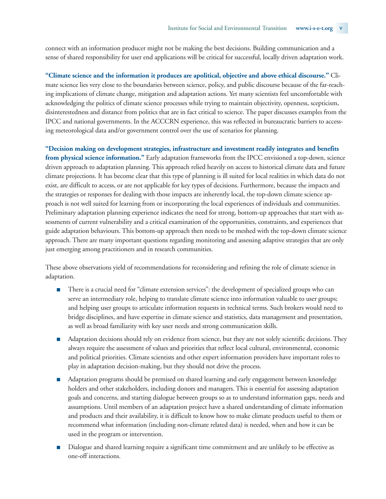connect with an information producer might not be making the best decisions. Building communication and a sense of shared responsibility for user end applications will be critical for successful, locally driven adaptation work.

**"Climate science and the information it produces are apolitical, objective and above ethical discourse."** Climate science lies very close to the boundaries between science, policy, and public discourse because of the far-reaching implications of climate change, mitigation and adaptation actions. Yet many scientists feel uncomfortable with acknowledging the politics of climate science processes while trying to maintain objectivity, openness, scepticism, disinterestedness and distance from politics that are in fact critical to science. The paper discusses examples from the IPCC and national governments. In the ACCCRN experience, this was reflected in bureaucratic barriers to accessing meteorological data and/or government control over the use of scenarios for planning.

**"Decision making on development strategies, infrastructure and investment readily integrates and benefits from physical science information."** Early adaptation frameworks from the IPCC envisioned a top-down, science driven approach to adaptation planning. This approach relied heavily on access to historical climate data and future climate projections. It has become clear that this type of planning is ill suited for local realities in which data do not exist, are difficult to access, or are not applicable for key types of decisions. Furthermore, because the impacts and the strategies or responses for dealing with those impacts are inherently local, the top-down climate science approach is not well suited for learning from or incorporating the local experiences of individuals and communities. Preliminary adaptation planning experience indicates the need for strong, bottom-up approaches that start with assessments of current vulnerability and a critical examination of the opportunities, constraints, and experiences that guide adaptation behaviours. This bottom-up approach then needs to be meshed with the top-down climate science approach. There are many important questions regarding monitoring and assessing adaptive strategies that are only just emerging among practitioners and in research communities.

These above observations yield of recommendations for reconsidering and refining the role of climate science in adaptation.

- There is a crucial need for "climate extension services": the development of specialized groups who can serve an intermediary role, helping to translate climate science into information valuable to user groups; and helping user groups to articulate information requests in technical terms. Such brokers would need to bridge disciplines, and have expertise in climate science and statistics, data management and presentation, as well as broad familiarity with key user needs and strong communication skills.
- Adaptation decisions should rely on evidence from science, but they are not solely scientific decisions. They always require the assessment of values and priorities that reflect local cultural, environmental, economic and political priorities. Climate scientists and other expert information providers have important roles to play in adaptation decision-making, but they should not drive the process.
- Adaptation programs should be premised on shared learning and early engagement between knowledge holders and other stakeholders, including donors and managers. This is essential for assessing adaptation goals and concerns, and starting dialogue between groups so as to understand information gaps, needs and assumptions. Until members of an adaptation project have a shared understanding of climate information and products and their availability, it is difficult to know how to make climate products useful to them or recommend what information (including non-climate related data) is needed, when and how it can be used in the program or intervention.
- Dialogue and shared learning require a significant time commitment and are unlikely to be effective as one-off interactions.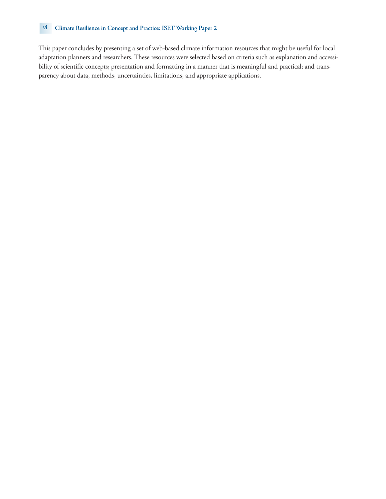#### vi **Climate Resilience in Concept and Practice: ISET Working Paper 2**

This paper concludes by presenting a set of web-based climate information resources that might be useful for local adaptation planners and researchers. These resources were selected based on criteria such as explanation and accessibility of scientific concepts; presentation and formatting in a manner that is meaningful and practical; and transparency about data, methods, uncertainties, limitations, and appropriate applications.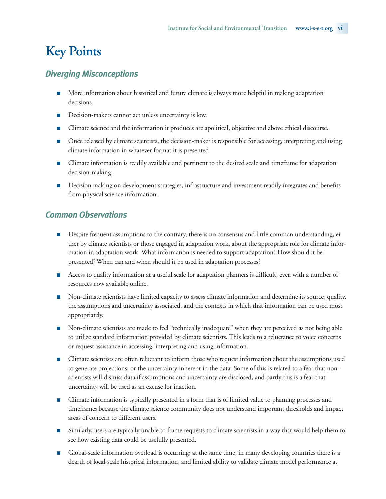# **Key Points**

# *Diverging Misconceptions*

- More information about historical and future climate is always more helpful in making adaptation decisions.
- Decision-makers cannot act unless uncertainty is low.
- Climate science and the information it produces are apolitical, objective and above ethical discourse.
- Once released by climate scientists, the decision-maker is responsible for accessing, interpreting and using climate information in whatever format it is presented
- Climate information is readily available and pertinent to the desired scale and timeframe for adaptation decision-making.
- Decision making on development strategies, infrastructure and investment readily integrates and benefits from physical science information.

# *Common Observations*

- Despite frequent assumptions to the contrary, there is no consensus and little common understanding, either by climate scientists or those engaged in adaptation work, about the appropriate role for climate information in adaptation work. What information is needed to support adaptation? How should it be presented? When can and when should it be used in adaptation processes?
- Access to quality information at a useful scale for adaptation planners is difficult, even with a number of resources now available online.
- Non-climate scientists have limited capacity to assess climate information and determine its source, quality, the assumptions and uncertainty associated, and the contexts in which that information can be used most appropriately.
- Non-climate scientists are made to feel "technically inadequate" when they are perceived as not being able to utilize standard information provided by climate scientists. This leads to a reluctance to voice concerns or request assistance in accessing, interpreting and using information.
- Climate scientists are often reluctant to inform those who request information about the assumptions used to generate projections, or the uncertainty inherent in the data. Some of this is related to a fear that nonscientists will dismiss data if assumptions and uncertainty are disclosed, and partly this is a fear that uncertainty will be used as an excuse for inaction.
- Climate information is typically presented in a form that is of limited value to planning processes and timeframes because the climate science community does not understand important thresholds and impact areas of concern to different users.
- Similarly, users are typically unable to frame requests to climate scientists in a way that would help them to see how existing data could be usefully presented.
- Global-scale information overload is occurring; at the same time, in many developing countries there is a dearth of local-scale historical information, and limited ability to validate climate model performance at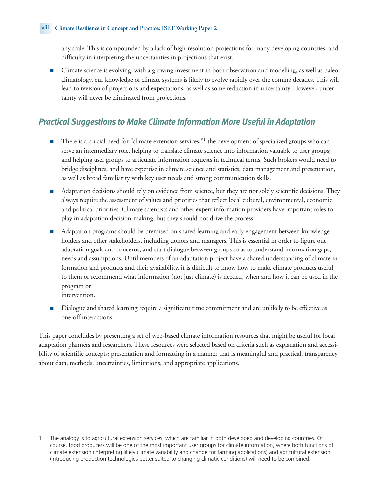any scale. This is compounded by a lack of high-resolution projections for many developing countries, and difficulty in interpreting the uncertainties in projections that exist.

■ Climate science is evolving: with a growing investment in both observation and modelling, as well as paleoclimatology, our knowledge of climate systems is likely to evolve rapidly over the coming decades. This will lead to revision of projections and expectations, as well as some reduction in uncertainty. However, uncertainty will never be eliminated from projections.

# *Practical Suggestions to Make Climate Information More Useful in Adaptation*

- There is a crucial need for "climate extension services,"<sup>1</sup> the development of specialized groups who can serve an intermediary role, helping to translate climate science into information valuable to user groups; and helping user groups to articulate information requests in technical terms. Such brokers would need to bridge disciplines, and have expertise in climate science and statistics, data management and presentation, as well as broad familiarity with key user needs and strong communication skills.
- Adaptation decisions should rely on evidence from science, but they are not solely scientific decisions. They always require the assessment of values and priorities that reflect local cultural, environmental, economic and political priorities. Climate scientists and other expert information providers have important roles to play in adaptation decision-making, but they should not drive the process.
- Adaptation programs should be premised on shared learning and early engagement between knowledge holders and other stakeholders, including donors and managers. This is essential in order to figure out adaptation goals and concerns, and start dialogue between groups so as to understand information gaps, needs and assumptions. Until members of an adaptation project have a shared understanding of climate information and products and their availability, it is difficult to know how to make climate products useful to them or recommend what information (not just climate) is needed, when and how it can be used in the program or
	- intervention.
- Dialogue and shared learning require a significant time commitment and are unlikely to be effective as one-off interactions.

This paper concludes by presenting a set of web-based climate information resources that might be useful for local adaptation planners and researchers. These resources were selected based on criteria such as explanation and accessibility of scientific concepts; presentation and formatting in a manner that is meaningful and practical, transparency about data, methods, uncertainties, limitations, and appropriate applications.

<sup>1</sup> The analogy is to agricultural extension services, which are familiar in both developed and developing countries. Of course, food producers will be one of the most important user groups for climate information, where both functions of climate extension (interpreting likely climate variability and change for farming applications) and agricultural extension (introducing production technologies better suited to changing climatic conditions) will need to be combined.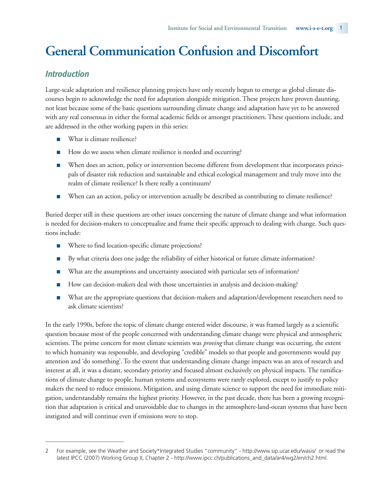# **General Communication Confusion and Discomfort**

# *Introduction*

Large-scale adaptation and resilience planning projects have only recently begun to emerge as global climate discourses begin to acknowledge the need for adaptation alongside mitigation. These projects have proven daunting, not least because some of the basic questions surrounding climate change and adaptation have yet to be answered with any real consensus in either the formal academic fields or amongst practitioners. These questions include, and are addressed in the other working papers in this series:

- What is climate resilience?
- How do we assess when climate resilience is needed and occurring?
- When does an action, policy or intervention become different from development that incorporates principals of disaster risk reduction and sustainable and ethical ecological management and truly move into the realm of climate resilience? Is there really a continuum?
- When can an action, policy or intervention actually be described as contributing to climate resilience?

Buried deeper still in these questions are other issues concerning the nature of climate change and what information is needed for decision-makers to conceptualize and frame their specific approach to dealing with change. Such questions include:

- Where to find location-specific climate projections?
- By what criteria does one judge the reliability of either historical or future climate information?
- What are the assumptions and uncertainty associated with particular sets of information?
- How can decision-makers deal with those uncertainties in analysis and decision-making?
- What are the appropriate questions that decision-makers and adaptation/development researchers need to ask climate scientists?

In the early 1990s, before the topic of climate change entered wider discourse, it was framed largely as a scientific question because most of the people concerned with understanding climate change were physical and atmospheric scientists. The prime concern for most climate scientists was *proving* that climate change was occurring, the extent to which humanity was responsible, and developing "credible" models so that people and governments would pay attention and 'do something'. To the extent that understanding climate change impacts was an area of research and interest at all, it was a distant, secondary priority and focused almost exclusively on physical impacts. The ramifications of climate change to people, human systems and ecosystems were rarely explored, except to justify to policy makers the need to reduce emissions. Mitigation, and using climate science to support the need for immediate mitigation, understandably remains the highest priority. However, in the past decade, there has been a growing recognition that adaptation is critical and unavoidable due to changes in the atmosphere-land-ocean systems that have been instigated and will continue even if emissions were to stop.

<sup>2</sup> For example, see the Weather and Society\*Integrated Studies "community" - http://www.sip.ucar.edu/wasis/ or read the latest IPCC (2007) Working Group II, Chapter 2 - http://www.ipcc.ch/publications\_and\_data/ar4/wg2/en/ch2.html.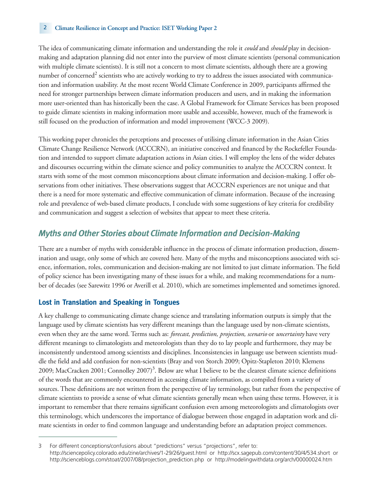#### 2 **Climate Resilience in Concept and Practice: ISET Working Paper 2**

The idea of communicating climate information and understanding the role it *could* and *should* play in decisionmaking and adaptation planning did not enter into the purview of most climate scientists (personal communication with multiple climate scientists). It is still not a concern to most climate scientists, although there are a growing number of concerned<sup>2</sup> scientists who are actively working to try to address the issues associated with communication and information usability. At the most recent World Climate Conference in 2009, participants affirmed the need for stronger partnerships between climate information producers and users, and in making the information more user-oriented than has historically been the case. A Global Framework for Climate Services has been proposed to guide climate scientists in making information more usable and accessible, however, much of the framework is still focused on the production of information and model improvement (WCC-3 2009).

This working paper chronicles the perceptions and processes of utilising climate information in the Asian Cities Climate Change Resilience Network (ACCCRN), an initiative conceived and financed by the Rockefeller Foundation and intended to support climate adaptation actions in Asian cities. I will employ the lens of the wider debates and discourses occurring within the climate science and policy communities to analyze the ACCCRN context. It starts with some of the most common misconceptions about climate information and decision-making. I offer observations from other initiatives. These observations suggest that ACCCRN experiences are not unique and that there is a need for more systematic and effective communication of climate information. Because of the increasing role and prevalence of web-based climate products, I conclude with some suggestions of key criteria for credibility and communication and suggest a selection of websites that appear to meet these criteria.

# *Myths and Other Stories about Climate Information and Decision-Making*

There are a number of myths with considerable influence in the process of climate information production, dissemination and usage, only some of which are covered here. Many of the myths and misconceptions associated with science, information, roles, communication and decision-making are not limited to just climate information. The field of policy science has been investigating many of these issues for a while, and making recommendations for a number of decades (see Sarewitz 1996 or Averill et al. 2010), which are sometimes implemented and sometimes ignored.

### **Lost in Translation and Speaking in Tongues**

A key challenge to communicating climate change science and translating information outputs is simply that the language used by climate scientists has very different meanings than the language used by non-climate scientists, even when they are the same word. Terms such as: *forecast, prediction, projection, scenario* or *uncertainty* have very different meanings to climatologists and meteorologists than they do to lay people and furthermore, they may be inconsistently understood among scientists and disciplines. Inconsistencies in language use between scientists muddle the field and add confusion for non-scientists (Bray and von Storch 2009; Opitz-Stapleton 2010; Klemens 2009; MacCracken 2001; Connolley 2007)<sup>3</sup>. Below are what I believe to be the clearest climate science definitions of the words that are commonly encountered in accessing climate information, as compiled from a variety of sources. These definitions are not written from the perspective of lay terminology, but rather from the perspective of climate scientists to provide a sense of what climate scientists generally mean when using these terms. However, it is important to remember that there remains significant confusion even among meteorologists and climatologists over this terminology, which underscores the importance of dialogue between those engaged in adaptation work and climate scientists in order to find common language and understanding before an adaptation project commences.

<sup>3</sup> For different conceptions/confusions about "predictions" versus "projections", refer to: http://sciencepolicy.colorado.edu/zine/archives/1-29/26/guest.html or http://scx.sagepub.com/content/30/4/534.short or http://scienceblogs.com/stoat/2007/08/projection\_prediction.php or http://modelingwithdata.org/arch/00000024.htm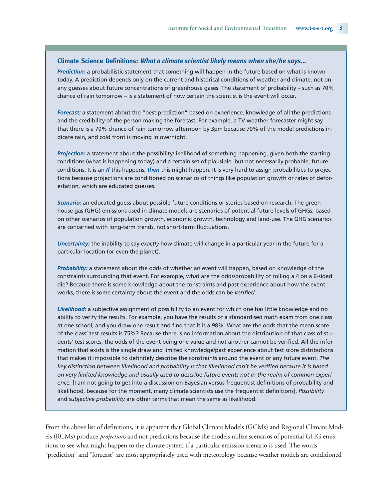#### **Climate Science Definitions:** *What a climate scientist likely means when she/he says…*

*Prediction:* a probabilistic statement that something will happen in the future based on what is known today. A prediction depends only on the current and historical conditions of weather and climate, not on any guesses about future concentrations of greenhouse gases. The statement of probability – such as 70% chance of rain tomorrow – is a statement of how certain the scientist is the event will occur.

*Forecast:* a statement about the "best prediction" based on experience, knowledge of all the predictions and the credibility of the person making the forecast. For example, a TV weather forecaster might say that there is a 70% chance of rain tomorrow afternoon by 3pm because 70% of the model predictions indicate rain, and cold front is moving in overnight.

*Projection:* a statement about the possibility/likelihood of something happening, given both the starting conditions (what is happening today) and a certain set of plausible, but not necessarily probable, future conditions. It is an *If* this happens, *then* this might happen. It is very hard to assign probabilities to projections because projections are conditioned on scenarios of things like population growth or rates of deforestation, which are educated guesses.

*Scenario:* an educated guess about possible future conditions or stories based on research. The greenhouse gas (GHG) emissions used in climate models are scenarios of potential future levels of GHGs, based on other scenarios of population growth, economic growth, technology and land-use. The GHG scenarios are concerned with long-term trends, not short-term fluctuations.

*Uncertainty:* the inability to say *exactly* how climate will change in a particular year in the future for a particular location (or even the planet).

*Probability:* a statement about the odds of whether an event will happen, based on knowledge of the constraints surrounding that event. For example, what are the odds/probability of rolling a 4 on a 6-sided die? Because there is some knowledge about the constraints and past experience about how the event works, there is some certainty about the event and the odds can be *verified*.

*Likelihood:* a subjective assignment of possibility to an event for which one has little knowledge and no ability to verify the results. For example, you have the results of a standardised math exam from one class at one school, and you draw one result and find that it is a 98%. What are the odds that the mean score of the class' test results is 75%? Because there is no information about the distribution of that class of students' test scores, the odds of the event being one value and not another cannot be verified. All the information that exists is the single draw and limited knowledge/past experience about test score distributions that makes it impossible to definitely describe the constraints around the event or any future event. *The key distinction between likelihood and probability is that likelihood can't be verified because it is based on very limited knowledge and usually used to describe future events not in the realm of common experience.* [I am not going to get into a discussion on Bayesian versus frequentist definitions of probability and likelihood, because for the moment, many climate scientists use the frequentist definitions]. *Possibility* and *subjective probability* are other terms that mean the same as likelihood.

From the above list of definitions, it is apparent that Global Climate Models (GCMs) and Regional Climate Models (RCMs) produce *projections* and not predictions because the models utilize scenarios of potential GHG emissions to see what might happen to the climate system if a particular emission scenario is used. The words "prediction" and "forecast" are most appropriately used with meteorology because weather models are conditioned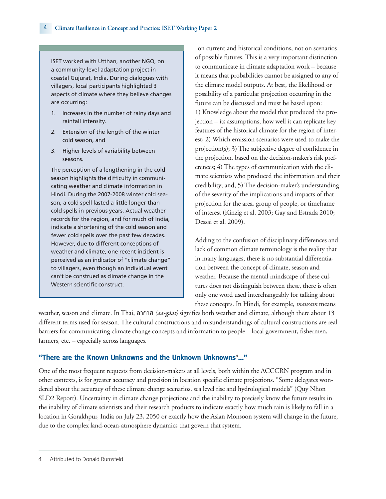ISET worked with Utthan, another NGO, on a community-level adaptation project in coastal Gujurat, India. During dialogues with villagers, local participants highlighted 3 aspects of climate where they believe changes are occurring:

- 1. Increases in the number of rainy days and rainfall intensity.
- 2. Extension of the length of the winter cold season, and
- 3. Higher levels of variability between seasons.

The perception of a lengthening in the cold season highlights the difficulty in communicating weather and climate information in Hindi. During the 2007-2008 winter cold season, a cold spell lasted a little longer than cold spells in previous years. Actual weather records for the region, and for much of India, indicate a shortening of the cold season and fewer cold spells over the past few decades. However, due to different conceptions of weather and climate, one recent incident is perceived as an indicator of "climate change" to villagers, even though an individual event can't be construed as climate change in the Western scientific construct.

on current and historical conditions, not on scenarios of possible futures. This is a very important distinction to communicate in climate adaptation work – because it means that probabilities cannot be assigned to any of the climate model outputs. At best, the likelihood or possibility of a particular projection occurring in the future can be discussed and must be based upon: 1) Knowledge about the model that produced the projection – its assumptions, how well it can replicate key features of the historical climate for the region of interest; 2) Which emission scenarios were used to make the projection(s); 3) The subjective degree of confidence in the projection, based on the decision-maker's risk preferences; 4) The types of communication with the climate scientists who produced the information and their credibility; and, 5) The decision-maker's understanding of the severity of the implications and impacts of that projection for the area, group of people, or timeframe of interest (Kinzig et al. 2003; Gay and Estrada 2010; Dessai et al. 2009).

Adding to the confusion of disciplinary differences and lack of common climate terminology is the reality that in many languages, there is no substantial differentiation between the concept of climate, season and weather. Because the mental mindscape of these cultures does not distinguish between these, there is often only one word used interchangeably for talking about these concepts. In Hindi, for example, *mausam* means

weather, season and climate. In Thai, อากาศ *(aa-gàat)* signifies both weather and climate, although there about 13 different terms used for season. The cultural constructions and misunderstandings of cultural constructions are real barriers for communicating climate change concepts and information to people – local government, fishermen, farmers, etc. – especially across languages.

# **"There are the Known Unknowns and the Unknown Unknowns**<sup>4</sup> **…"**

One of the most frequent requests from decision-makers at all levels, both within the ACCCRN program and in other contexts, is for greater accuracy and precision in location specific climate projections. "Some delegates wondered about the accuracy of these climate change scenarios, sea level rise and hydrological models" (Quy Nhon SLD2 Report). Uncertainty in climate change projections and the inability to precisely know the future results in the inability of climate scientists and their research products to indicate exactly how much rain is likely to fall in a location in Gorakhpur, India on July 23, 2050 or exactly how the Asian Monsoon system will change in the future, due to the complex land-ocean-atmosphere dynamics that govern that system.

<sup>4</sup> Attributed to Donald Rumsfeld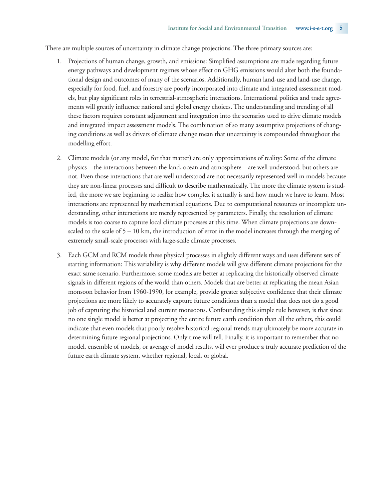There are multiple sources of uncertainty in climate change projections. The three primary sources are:

- 1. Projections of human change, growth, and emissions: Simplified assumptions are made regarding future energy pathways and development regimes whose effect on GHG emissions would alter both the foundational design and outcomes of many of the scenarios. Additionally, human land-use and land-use change, especially for food, fuel, and forestry are poorly incorporated into climate and integrated assessment models, but play significant roles in terrestrial-atmospheric interactions. International politics and trade agreements will greatly influence national and global energy choices. The understanding and trending of all these factors requires constant adjustment and integration into the scenarios used to drive climate models and integrated impact assessment models. The combination of so many assumptive projections of changing conditions as well as drivers of climate change mean that uncertainty is compounded throughout the modelling effort.
- 2. Climate models (or any model, for that matter) are only approximations of reality: Some of the climate physics – the interactions between the land, ocean and atmosphere – are well understood, but others are not. Even those interactions that are well understood are not necessarily represented well in models because they are non-linear processes and difficult to describe mathematically. The more the climate system is studied, the more we are beginning to realize how complex it actually is and how much we have to learn. Most interactions are represented by mathematical equations. Due to computational resources or incomplete understanding, other interactions are merely represented by parameters. Finally, the resolution of climate models is too coarse to capture local climate processes at this time. When climate projections are downscaled to the scale of  $5 - 10$  km, the introduction of error in the model increases through the merging of extremely small-scale processes with large-scale climate processes.
- 3. Each GCM and RCM models these physical processes in slightly different ways and uses different sets of starting information: This variability is why different models will give different climate projections for the exact same scenario. Furthermore, some models are better at replicating the historically observed climate signals in different regions of the world than others. Models that are better at replicating the mean Asian monsoon behavior from 1960-1990, for example, provide greater subjective confidence that their climate projections are more likely to accurately capture future conditions than a model that does not do a good job of capturing the historical and current monsoons. Confounding this simple rule however, is that since no one single model is better at projecting the entire future earth condition than all the others, this could indicate that even models that poorly resolve historical regional trends may ultimately be more accurate in determining future regional projections. Only time will tell. Finally, it is important to remember that no model, ensemble of models, or average of model results, will ever produce a truly accurate prediction of the future earth climate system, whether regional, local, or global.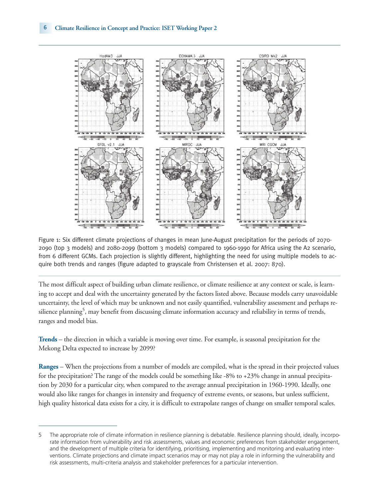

Figure 1: Six different climate projections of changes in mean June-August precipitation for the periods of 2070- 2090 (top 3 models) and 2080-2099 (bottom 3 models) compared to 1960-1990 for Africa using the A2 scenario, from 6 different GCMs. Each projection is slightly different, highlighting the need for using multiple models to acquire both trends and ranges (figure adapted to grayscale from Christensen et al. 2007: 870).

The most difficult aspect of building urban climate resilience, or climate resilience at any context or scale, is learning to accept and deal with the uncertainty generated by the factors listed above. Because models carry unavoidable uncertainty, the level of which may be unknown and not easily quantified, vulnerability assessment and perhaps resilience planning<sup>5</sup>, may benefit from discussing climate information accuracy and reliability in terms of trends, ranges and model bias.

**Trends** – the direction in which a variable is moving over time. For example, is seasonal precipitation for the Mekong Delta expected to increase by 2099?

**Ranges** – When the projections from a number of models are compiled, what is the spread in their projected values for the precipitation? The range of the models could be something like -8% to +23% change in annual precipitation by 2030 for a particular city, when compared to the average annual precipitation in 1960-1990. Ideally, one would also like ranges for changes in intensity and frequency of extreme events, or seasons, but unless sufficient, high quality historical data exists for a city, it is difficult to extrapolate ranges of change on smaller temporal scales.

<sup>5</sup> The appropriate role of climate information in resilience planning is debatable. Resilience planning should, ideally, incorporate information from vulnerability and risk assessments, values and economic preferences from stakeholder engagement, and the development of multiple criteria for identifying, prioritising, implementing and monitoring and evaluating interventions. Climate projections and climate impact scenarios may or may not play a role in informing the vulnerability and risk assessments, multi-criteria analysis and stakeholder preferences for a particular intervention.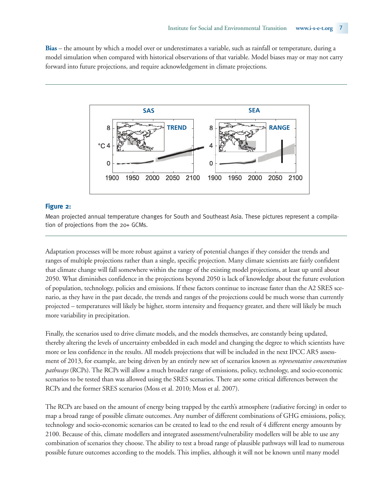**Bias** – the amount by which a model over or underestimates a variable, such as rainfall or temperature, during a model simulation when compared with historical observations of that variable. Model biases may or may not carry forward into future projections, and require acknowledgement in climate projections.



#### **Figure 2:**

Mean projected annual temperature changes for South and Southeast Asia. These pictures represent a compilation of projections from the 20+ GCMs.

Adaptation processes will be more robust against a variety of potential changes if they consider the trends and ranges of multiple projections rather than a single, specific projection. Many climate scientists are fairly confident that climate change will fall somewhere within the range of the existing model projections, at least up until about 2050. What diminishes confidence in the projections beyond 2050 is lack of knowledge about the future evolution of population, technology, policies and emissions. If these factors continue to increase faster than the A2 SRES scenario, as they have in the past decade, the trends and ranges of the projections could be much worse than currently projected – temperatures will likely be higher, storm intensity and frequency greater, and there will likely be much more variability in precipitation.

Finally, the scenarios used to drive climate models, and the models themselves, are constantly being updated, thereby altering the levels of uncertainty embedded in each model and changing the degree to which scientists have more or less confidence in the results. All models projections that will be included in the next IPCC AR5 assessment of 2013, for example, are being driven by an entirely new set of scenarios known as *representative concentration pathways* (RCPs). The RCPs will allow a much broader range of emissions, policy, technology, and socio-economic scenarios to be tested than was allowed using the SRES scenarios. There are some critical differences between the RCPs and the former SRES scenarios (Moss et al. 2010; Moss et al. 2007).

The RCPs are based on the amount of energy being trapped by the earth's atmosphere (radiative forcing) in order to map a broad range of possible climate outcomes. Any number of different combinations of GHG emissions, policy, technology and socio-economic scenarios can be created to lead to the end result of 4 different energy amounts by 2100. Because of this, climate modellers and integrated assessment/vulnerability modellers will be able to use any combination of scenarios they choose. The ability to test a broad range of plausible pathways will lead to numerous possible future outcomes according to the models. This implies, although it will not be known until many model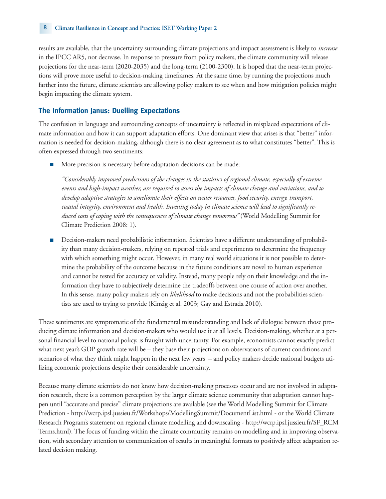results are available, that the uncertainty surrounding climate projections and impact assessment is likely to *increase* in the IPCC AR5, not decrease. In response to pressure from policy makers, the climate community will release projections for the near-term (2020-2035) and the long-term (2100-2300). It is hoped that the near-term projections will prove more useful to decision-making timeframes. At the same time, by running the projections much farther into the future, climate scientists are allowing policy makers to see when and how mitigation policies might begin impacting the climate system.

# **The Information Janus: Duelling Expectations**

The confusion in language and surrounding concepts of uncertainty is reflected in misplaced expectations of climate information and how it can support adaptation efforts. One dominant view that arises is that "better" information is needed for decision-making, although there is no clear agreement as to what constitutes "better". This is often expressed through two sentiments:

More precision is necessary before adaptation decisions can be made:

*"Considerably improved predictions of the changes in the statistics of regional climate, especially of extreme events and high-impact weather, are required to assess the impacts of climate change and variations, and to develop adaptive strategies to ameliorate their effects on water resources, food security, energy, transport, coastal integrity, environment and health. Investing today in climate science will lead to significantly reduced costs of coping with the consequences of climate change tomorrow"* (World Modelling Summit for Climate Prediction 2008: 1).

■ Decision-makers need probabilistic information. Scientists have a different understanding of probability than many decision-makers, relying on repeated trials and experiments to determine the frequency with which something might occur. However, in many real world situations it is not possible to determine the probability of the outcome because in the future conditions are novel to human experience and cannot be tested for accuracy or validity. Instead, many people rely on their knowledge and the information they have to subjectively determine the tradeoffs between one course of action over another. In this sense, many policy makers rely on *likelihood* to make decisions and not the probabilities scientists are used to trying to provide (Kinzig et al. 2003; Gay and Estrada 2010).

These sentiments are symptomatic of the fundamental misunderstanding and lack of dialogue between those producing climate information and decision-makers who would use it at all levels. Decision-making, whether at a personal financial level to national policy, is fraught with uncertainty. For example, economists cannot exactly predict what next year's GDP growth rate will be – they base their projections on observations of current conditions and scenarios of what they think might happen in the next few years – and policy makers decide national budgets utilizing economic projections despite their considerable uncertainty.

Because many climate scientists do not know how decision-making processes occur and are not involved in adaptation research, there is a common perception by the larger climate science community that adaptation cannot happen until "accurate and precise" climate projections are available (see the World Modelling Summit for Climate Prediction - http://wcrp.ipsl.jussieu.fr/Workshops/ModellingSummit/DocumentList.html - or the World Climate Research Program's statement on regional climate modelling and downscaling - http://wcrp.ipsl.jussieu.fr/SF\_RCM Terms.html). The focus of funding within the climate community remains on modelling and in improving observation, with secondary attention to communication of results in meaningful formats to positively affect adaptation related decision making.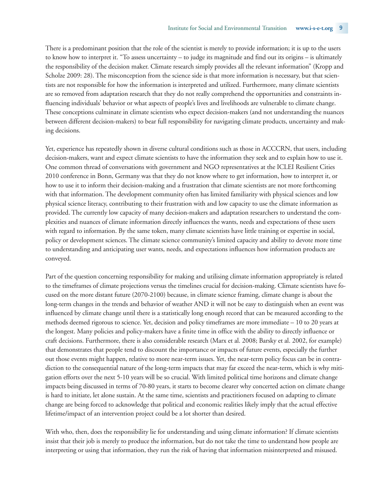There is a predominant position that the role of the scientist is merely to provide information; it is up to the users to know how to interpret it. "To assess uncertainty – to judge its magnitude and find out its origins – is ultimately the responsibility of the decision maker. Climate research simply provides all the relevant information" (Kropp and Scholze 2009: 28). The misconception from the science side is that more information is necessary, but that scientists are not responsible for how the information is interpreted and utilized. Furthermore, many climate scientists are so removed from adaptation research that they do not really comprehend the opportunities and constraints influencing individuals' behavior or what aspects of people's lives and livelihoods are vulnerable to climate change. These conceptions culminate in climate scientists who expect decision-makers (and not understanding the nuances between different decision-makers) to bear full responsibility for navigating climate products, uncertainty and making decisions.

Yet, experience has repeatedly shown in diverse cultural conditions such as those in ACCCRN, that users, including decision-makers, want and expect climate scientists to have the information they seek and to explain how to use it. One common thread of conversations with government and NGO representatives at the ICLEI Resilient Cities 2010 conference in Bonn, Germany was that they do not know where to get information, how to interpret it, or how to use it to inform their decision-making and a frustration that climate scientists are not more forthcoming with that information. The development community often has limited familiarity with physical sciences and low physical science literacy, contributing to their frustration with and low capacity to use the climate information as provided. The currently low capacity of many decision-makers and adaptation researchers to understand the complexities and nuances of climate information directly influences the wants, needs and expectations of these users with regard to information. By the same token, many climate scientists have little training or expertise in social, policy or development sciences. The climate science community's limited capacity and ability to devote more time to understanding and anticipating user wants, needs, and expectations influences how information products are conveyed.

Part of the question concerning responsibility for making and utilising climate information appropriately is related to the timeframes of climate projections versus the timelines crucial for decision-making. Climate scientists have focused on the more distant future (2070-2100) because, in climate science framing, climate change is about the long-term changes in the trends and behavior of weather AND it will not be easy to distinguish when an event was influenced by climate change until there is a statistically long enough record that can be measured according to the methods deemed rigorous to science. Yet, decision and policy timeframes are more immediate – 10 to 20 years at the longest. Many policies and policy-makers have a finite time in office with the ability to directly influence or craft decisions. Furthermore, there is also considerable research (Marx et al. 2008; Barsky et al. 2002, for example) that demonstrates that people tend to discount the importance or impacts of future events, especially the further out those events might happen, relative to more near-term issues. Yet, the near-term policy focus can be in contradiction to the consequential nature of the long-term impacts that may far exceed the near-term, which is why mitigation efforts over the next 5-10 years will be so crucial. With limited political time horizons and climate change impacts being discussed in terms of 70-80 years, it starts to become clearer why concerted action on climate change is hard to initiate, let alone sustain. At the same time, scientists and practitioners focused on adapting to climate change are being forced to acknowledge that political and economic realities likely imply that the actual effective lifetime/impact of an intervention project could be a lot shorter than desired.

With who, then, does the responsibility lie for understanding and using climate information? If climate scientists insist that their job is merely to produce the information, but do not take the time to understand how people are interpreting or using that information, they run the risk of having that information misinterpreted and misused.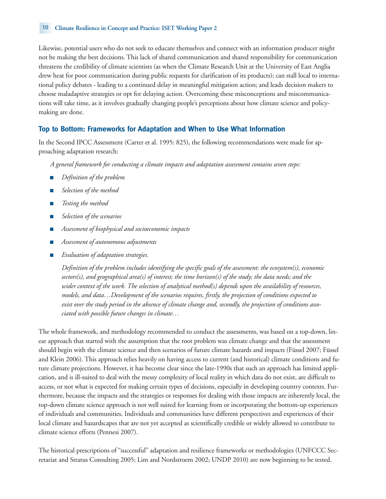#### 10 **Climate Resilience in Concept and Practice: ISET Working Paper 2**

Likewise, potential users who do not seek to educate themselves and connect with an information producer might not be making the best decisions. This lack of shared communication and shared responsibility for communication threatens the credibility of climate scientists (as when the Climate Research Unit at the University of East Anglia drew heat for poor communication during public requests for clarification of its products); can stall local to international policy debates - leading to a continued delay in meaningful mitigation action; and leads decision makers to choose maladaptive strategies or opt for delaying action. Overcoming these misconceptions and miscommunications will take time, as it involves gradually changing people's perceptions about how climate science and policymaking are done.

### **Top to Bottom: Frameworks for Adaptation and When to Use What Information**

In the Second IPCC Assessment (Carter et al. 1995: 825), the following recommendations were made for approaching adaptation research:

*A general framework for conducting a climate impacts and adaptation assessment contains seven steps:*

- *Definition of the problem*
- Selection of the method
- *Testing the method*
- *Selection of the scenarios*
- *Assessment of biophysical and socioeconomic impacts*
- *Assessment of autonomous adjustments*
- *Evaluation of adaptation strategies.*

*Definition of the problem includes identifying the specific goals of the assessment: the ecosystem(s), economic sectors(s), and geographical area(s) of interest; the time horizon(s) of the study; the data needs; and the wider context of the work. The selection of analytical method(s) depends upon the availability of resources, models, and data…Development of the scenarios requires, firstly, the projection of conditions expected to exist over the study period in the absence of climate change and, secondly, the projection of conditions associated with possible future changes in climate…*

The whole framework, and methodology recommended to conduct the assessments, was based on a top-down, linear approach that started with the assumption that the root problem was climate change and that the assessment should begin with the climate science and then scenarios of future climate hazards and impacts (Füssel 2007; Füssel and Klein 2006). This approach relies heavily on having access to current (and historical) climate conditions and future climate projections. However, it has become clear since the late-1990s that such an approach has limited application, and is ill-suited to deal with the messy complexity of local reality in which data do not exist, are difficult to access, or not what is expected for making certain types of decisions, especially in developing country contexts. Furthermore, because the impacts and the strategies or responses for dealing with those impacts are inherently local, the top-down climate science approach is not well suited for learning from or incorporating the bottom-up experiences of individuals and communities. Individuals and communities have different perspectives and experiences of their local climate and hazardscapes that are not yet accepted as scientifically credible or widely allowed to contribute to climate science efforts (Pennesi 2007).

The historical prescriptions of "successful" adaptation and resilience frameworks or methodologies (UNFCCC Secretariat and Stratus Consulting 2005; Lim and Nordstroem 2002; UNDP 2010) are now beginning to be tested.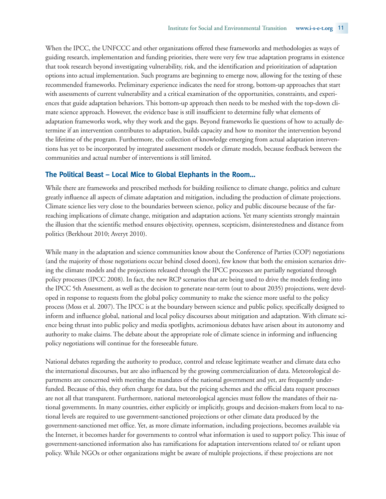When the IPCC, the UNFCCC and other organizations offered these frameworks and methodologies as ways of guiding research, implementation and funding priorities, there were very few true adaptation programs in existence that took research beyond investigating vulnerability, risk, and the identification and prioritization of adaptation options into actual implementation. Such programs are beginning to emerge now, allowing for the testing of these recommended frameworks. Preliminary experience indicates the need for strong, bottom-up approaches that start with assessments of current vulnerability and a critical examination of the opportunities, constraints, and experiences that guide adaptation behaviors. This bottom-up approach then needs to be meshed with the top-down climate science approach. However, the evidence base is still insufficient to determine fully what elements of adaptation frameworks work, why they work and the gaps. Beyond frameworks lie questions of how to actually determine if an intervention contributes to adaptation, builds capacity and how to monitor the intervention beyond the lifetime of the program. Furthermore, the collection of knowledge emerging from actual adaptation interventions has yet to be incorporated by integrated assessment models or climate models, because feedback between the communities and actual number of interventions is still limited.

#### **The Political Beast – Local Mice to Global Elephants in the Room…**

While there are frameworks and prescribed methods for building resilience to climate change, politics and culture greatly influence all aspects of climate adaptation and mitigation, including the production of climate projections. Climate science lies very close to the boundaries between science, policy and public discourse because of the farreaching implications of climate change, mitigation and adaptation actions. Yet many scientists strongly maintain the illusion that the scientific method ensures objectivity, openness, scepticism, disinterestedness and distance from politics (Berkhout 2010; Averyt 2010).

While many in the adaptation and science communities know about the Conference of Parties (COP) negotiations (and the majority of those negotiations occur behind closed doors), few know that both the emission scenarios driving the climate models and the projections released through the IPCC processes are partially negotiated through policy processes (IPCC 2008). In fact, the new RCP scenarios that are being used to drive the models feeding into the IPCC 5th Assessment, as well as the decision to generate near-term (out to about 2035) projections, were developed in response to requests from the global policy community to make the science more useful to the policy process (Moss et al. 2007). The IPCC is at the boundary between science and public policy, specifically designed to inform and influence global, national and local policy discourses about mitigation and adaptation. With climate science being thrust into public policy and media spotlights, acrimonious debates have arisen about its autonomy and authority to make claims. The debate about the appropriate role of climate science in informing and influencing policy negotiations will continue for the foreseeable future.

National debates regarding the authority to produce, control and release legitimate weather and climate data echo the international discourses, but are also influenced by the growing commercialization of data. Meteorological departments are concerned with meeting the mandates of the national government and yet, are frequently underfunded. Because of this, they often charge for data, but the pricing schemes and the official data request processes are not all that transparent. Furthermore, national meteorological agencies must follow the mandates of their national governments. In many countries, either explicitly or implicitly, groups and decision-makers from local to national levels are required to use government-sanctioned projections or other climate data produced by the government-sanctioned met office. Yet, as more climate information, including projections, becomes available via the Internet, it becomes harder for governments to control what information is used to support policy. This issue of government-sanctioned information also has ramifications for adaptation interventions related to/ or reliant upon policy. While NGOs or other organizations might be aware of multiple projections, if these projections are not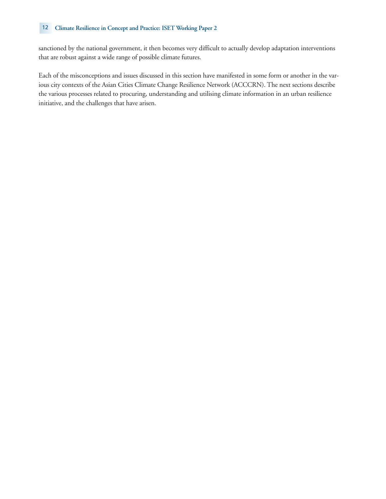#### 12 **Climate Resilience in Concept and Practice: ISET Working Paper 2**

sanctioned by the national government, it then becomes very difficult to actually develop adaptation interventions that are robust against a wide range of possible climate futures.

Each of the misconceptions and issues discussed in this section have manifested in some form or another in the various city contexts of the Asian Cities Climate Change Resilience Network (ACCCRN). The next sections describe the various processes related to procuring, understanding and utilising climate information in an urban resilience initiative, and the challenges that have arisen.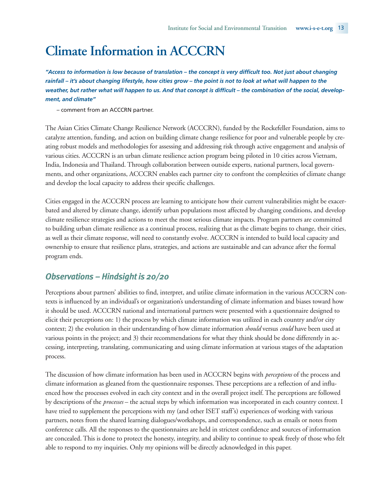# **Climate Information in ACCCRN**

*"Access to information is low because of translation – the concept is very difficult too. Not just about changing rainfall – it's about changing lifestyle, how cities grow – the point is not to look at what will happen to the weather, but rather what will happen to us. And that concept is difficult – the combination of the social, development, and climate"* 

– comment from an ACCCRN partner.

The Asian Cities Climate Change Resilience Network (ACCCRN), funded by the Rockefeller Foundation, aims to catalyze attention, funding, and action on building climate change resilience for poor and vulnerable people by creating robust models and methodologies for assessing and addressing risk through active engagement and analysis of various cities. ACCCRN is an urban climate resilience action program being piloted in 10 cities across Vietnam, India, Indonesia and Thailand. Through collaboration between outside experts, national partners, local governments, and other organizations, ACCCRN enables each partner city to confront the complexities of climate change and develop the local capacity to address their specific challenges.

Cities engaged in the ACCCRN process are learning to anticipate how their current vulnerabilities might be exacerbated and altered by climate change, identify urban populations most affected by changing conditions, and develop climate resilience strategies and actions to meet the most serious climate impacts. Program partners are committed to building urban climate resilience as a continual process, realizing that as the climate begins to change, their cities, as well as their climate response, will need to constantly evolve. ACCCRN is intended to build local capacity and ownership to ensure that resilience plans, strategies, and actions are sustainable and can advance after the formal program ends.

# *Observations – Hindsight is 20/20*

Perceptions about partners' abilities to find, interpret, and utilize climate information in the various ACCCRN contexts is influenced by an individual's or organization's understanding of climate information and biases toward how it should be used. ACCCRN national and international partners were presented with a questionnaire designed to elicit their perceptions on: 1) the process by which climate information was utilized in each country and/or city context; 2) the evolution in their understanding of how climate information *should* versus *could* have been used at various points in the project; and 3) their recommendations for what they think should be done differently in accessing, interpreting, translating, communicating and using climate information at various stages of the adaptation process.

The discussion of how climate information has been used in ACCCRN begins with *perceptions* of the process and climate information as gleaned from the questionnaire responses. These perceptions are a reflection of and influenced how the processes evolved in each city context and in the overall project itself. The perceptions are followed by descriptions of the *processes* – the actual steps by which information was incorporated in each country context. I have tried to supplement the perceptions with my (and other ISET staff's) experiences of working with various partners, notes from the shared learning dialogues/workshops, and correspondence, such as emails or notes from conference calls. All the responses to the questionnaires are held in strictest confidence and sources of information are concealed. This is done to protect the honesty, integrity, and ability to continue to speak freely of those who felt able to respond to my inquiries. Only my opinions will be directly acknowledged in this paper.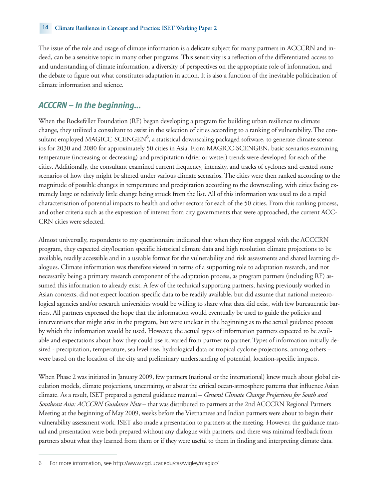The issue of the role and usage of climate information is a delicate subject for many partners in ACCCRN and indeed, can be a sensitive topic in many other programs. This sensitivity is a reflection of the differentiated access to and understanding of climate information, a diversity of perspectives on the appropriate role of information, and the debate to figure out what constitutes adaptation in action. It is also a function of the inevitable politicization of climate information and science.

# *ACCCRN – In the beginning…*

When the Rockefeller Foundation (RF) began developing a program for building urban resilience to climate change, they utilized a consultant to assist in the selection of cities according to a ranking of vulnerability. The consultant employed MAGICC-SCENGEN $^6$ , a statistical downscaling packaged software, to generate climate scenarios for 2030 and 2080 for approximately 50 cities in Asia. From MAGICC-SCENGEN, basic scenarios examining temperature (increasing or decreasing) and precipitation (drier or wetter) trends were developed for each of the cities. Additionally, the consultant examined current frequency, intensity, and tracks of cyclones and created some scenarios of how they might be altered under various climate scenarios. The cities were then ranked according to the magnitude of possible changes in temperature and precipitation according to the downscaling, with cities facing extremely large or relatively little change being struck from the list. All of this information was used to do a rapid characterisation of potential impacts to health and other sectors for each of the 50 cities. From this ranking process, and other criteria such as the expression of interest from city governments that were approached, the current ACC-CRN cities were selected.

Almost universally, respondents to my questionnaire indicated that when they first engaged with the ACCCRN program, they expected city/location specific historical climate data and high resolution climate projections to be available, readily accessible and in a useable format for the vulnerability and risk assessments and shared learning dialogues. Climate information was therefore viewed in terms of a supporting role to adaptation research, and not necessarily being a primary research component of the adaptation process, as program partners (including RF) assumed this information to already exist. A few of the technical supporting partners, having previously worked in Asian contexts, did not expect location-specific data to be readily available, but did assume that national meteorological agencies and/or research universities would be willing to share what data did exist, with few bureaucratic barriers. All partners expressed the hope that the information would eventually be used to guide the policies and interventions that might arise in the program, but were unclear in the beginning as to the actual guidance process by which the information would be used. However, the actual types of information partners expected to be available and expectations about how they could use it, varied from partner to partner. Types of information initially desired - precipitation, temperature, sea level rise, hydrological data or tropical cyclone projections, among others – were based on the location of the city and preliminary understanding of potential, location-specific impacts.

When Phase 2 was initiated in January 2009, few partners (national or the international) knew much about global circulation models, climate projections, uncertainty, or about the critical ocean-atmosphere patterns that influence Asian climate. As a result, ISET prepared a general guidance manual – *General Climate Change Projections for South and Southeast Asia: ACCCRN Guidance Note* – that was distributed to partners at the 2nd ACCCRN Regional Partners Meeting at the beginning of May 2009, weeks before the Vietnamese and Indian partners were about to begin their vulnerability assessment work. ISET also made a presentation to partners at the meeting. However, the guidance manual and presentation were both prepared without any dialogue with partners, and there was minimal feedback from partners about what they learned from them or if they were useful to them in finding and interpreting climate data.

<sup>6</sup> For more information, see http://www.cgd.ucar.edu/cas/wigley/magicc/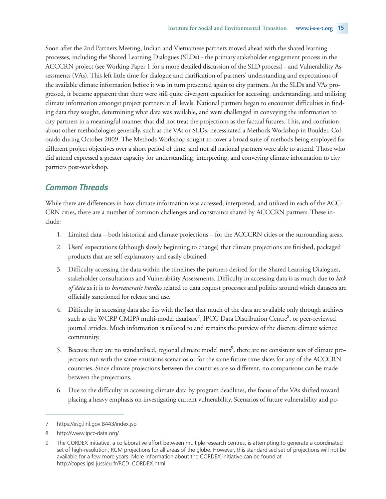Soon after the 2nd Partners Meeting, Indian and Vietnamese partners moved ahead with the shared learning processes, including the Shared Learning Dialogues (SLDs) - the primary stakeholder engagement process in the ACCCRN project (see Working Paper 1 for a more detailed discussion of the SLD process) - and Vulnerability Assessments (VAs). This left little time for dialogue and clarification of partners' understanding and expectations of the available climate information before it was in turn presented again to city partners. As the SLDs and VAs progressed, it became apparent that there were still quite divergent capacities for accessing, understanding, and utilising climate information amongst project partners at all levels. National partners began to encounter difficulties in finding data they sought, determining what data was available, and were challenged in conveying the information to city partners in a meaningful manner that did not treat the projections as the factual futures. This, and confusion about other methodologies generally, such as the VAs or SLDs, necessitated a Methods Workshop in Boulder, Colorado during October 2009. The Methods Workshop sought to cover a broad suite of methods being employed for different project objectives over a short period of time, and not all national partners were able to attend. Those who did attend expressed a greater capacity for understanding, interpreting, and conveying climate information to city partners post-workshop.

# *Common Threads*

While there are differences in how climate information was accessed, interpreted, and utilized in each of the ACC-CRN cities, there are a number of common challenges and constraints shared by ACCCRN partners. These include:

- 1. Limited data both historical and climate projections for the ACCCRN cities or the surrounding areas.
- 2. Users' expectations (although slowly beginning to change) that climate projections are finished, packaged products that are self-explanatory and easily obtained.
- 3. Difficulty accessing the data within the timelines the partners desired for the Shared Learning Dialogues, stakeholder consultations and Vulnerability Assessments. Difficulty in accessing data is as much due to *lack of data* as it is to *bureaucratic hurdles* related to data request processes and politics around which datasets are officially sanctioned for release and use.
- 4. Difficulty in accessing data also lies with the fact that much of the data are available only through archives such as the WCRP CMIP3 multi-model database<sup>7</sup>, IPCC Data Distribution Centre<sup>8</sup>, or peer-reviewed journal articles. Much information is tailored to and remains the purview of the discrete climate science community.
- 5. Because there are no standardised, regional climate model runs<sup>9</sup>, there are no consistent sets of climate projections run with the same emissions scenarios or for the same future time slices for any of the ACCCRN countries. Since climate projections between the countries are so different, no comparisons can be made between the projections.
- 6. Due to the difficulty in accessing climate data by program deadlines, the focus of the VAs shifted toward placing a heavy emphasis on investigating current vulnerability. Scenarios of future vulnerability and po-

<sup>7</sup> https://esg.llnl.gov:8443/index.jsp

<sup>8</sup> http://www.ipcc-data.org/

<sup>9</sup> The CORDEX initiative, a collaborative effort between multiple research centres, is attempting to generate a coordinated set of high-resolution, RCM projections for all areas of the globe. However, this standardised set of projections will not be available for a few more years. More information about the CORDEX Initiative can be found at http://copes.ipsl.jussieu.fr/RCD\_CORDEX.html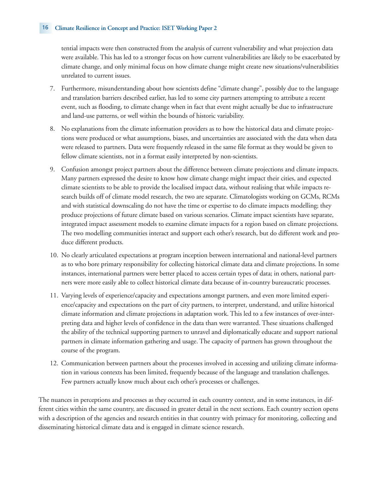#### 16 **Climate Resilience in Concept and Practice: ISET Working Paper 2**

tential impacts were then constructed from the analysis of current vulnerability and what projection data were available. This has led to a stronger focus on how current vulnerabilities are likely to be exacerbated by climate change, and only minimal focus on how climate change might create new situations/vulnerabilities unrelated to current issues.

- 7. Furthermore, misunderstanding about how scientists define "climate change", possibly due to the language and translation barriers described earlier, has led to some city partners attempting to attribute a recent event, such as flooding, to climate change when in fact that event might actually be due to infrastructure and land-use patterns, or well within the bounds of historic variability.
- 8. No explanations from the climate information providers as to how the historical data and climate projections were produced or what assumptions, biases, and uncertainties are associated with the data when data were released to partners. Data were frequently released in the same file format as they would be given to fellow climate scientists, not in a format easily interpreted by non-scientists.
- 9. Confusion amongst project partners about the difference between climate projections and climate impacts. Many partners expressed the desire to know how climate change might impact their cities, and expected climate scientists to be able to provide the localised impact data, without realising that while impacts research builds off of climate model research, the two are separate. Climatologists working on GCMs, RCMs and with statistical downscaling do not have the time or expertise to do climate impacts modelling; they produce projections of future climate based on various scenarios. Climate impact scientists have separate, integrated impact assessment models to examine climate impacts for a region based on climate projections. The two modelling communities interact and support each other's research, but do different work and produce different products.
- 10. No clearly articulated expectations at program inception between international and national-level partners as to who bore primary responsibility for collecting historical climate data and climate projections. In some instances, international partners were better placed to access certain types of data; in others, national partners were more easily able to collect historical climate data because of in-country bureaucratic processes.
- 11. Varying levels of experience/capacity and expectations amongst partners, and even more limited experience/capacity and expectations on the part of city partners, to interpret, understand, and utilize historical climate information and climate projections in adaptation work. This led to a few instances of over-interpreting data and higher levels of confidence in the data than were warranted. These situations challenged the ability of the technical supporting partners to unravel and diplomatically educate and support national partners in climate information gathering and usage. The capacity of partners has grown throughout the course of the program.
- 12. Communication between partners about the processes involved in accessing and utilizing climate information in various contexts has been limited, frequently because of the language and translation challenges. Few partners actually know much about each other's processes or challenges.

The nuances in perceptions and processes as they occurred in each country context, and in some instances, in different cities within the same country, are discussed in greater detail in the next sections. Each country section opens with a description of the agencies and research entities in that country with primacy for monitoring, collecting and disseminating historical climate data and is engaged in climate science research.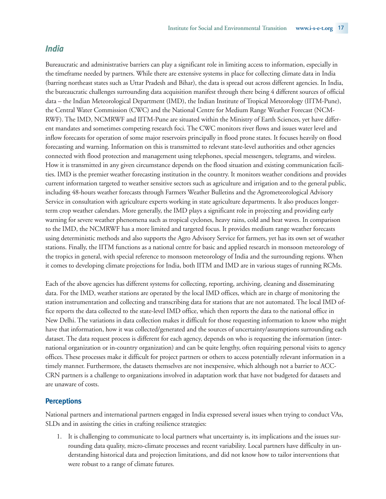### *India*

Bureaucratic and administrative barriers can play a significant role in limiting access to information, especially in the timeframe needed by partners. While there are extensive systems in place for collecting climate data in India (barring northeast states such as Uttar Pradesh and Bihar), the data is spread out across different agencies. In India, the bureaucratic challenges surrounding data acquisition manifest through there being 4 different sources of official data – the Indian Meteorological Department (IMD), the Indian Institute of Tropical Meteorology (IITM-Pune), the Central Water Commission (CWC) and the National Centre for Medium Range Weather Forecast (NCM-RWF). The IMD, NCMRWF and IITM-Pune are situated within the Ministry of Earth Sciences, yet have different mandates and sometimes competing research foci. The CWC monitors river flows and issues water level and inflow forecasts for operation of some major reservoirs principally in flood prone states. It focuses heavily on flood forecasting and warning. Information on this is transmitted to relevant state-level authorities and other agencies connected with flood protection and management using telephones, special messengers, telegrams, and wireless. How it is transmitted in any given circumstance depends on the flood situation and existing communication facilities. IMD is the premier weather forecasting institution in the country. It monitors weather conditions and provides current information targeted to weather sensitive sectors such as agriculture and irrigation and to the general public, including 48-hours weather forecasts through Farmers Weather Bulletins and the Agrometeorological Advisory Service in consultation with agriculture experts working in state agriculture departments. It also produces longerterm crop weather calendars. More generally, the IMD plays a significant role in projecting and providing early warning for severe weather phenomena such as tropical cyclones, heavy rains, cold and heat waves. In comparison to the IMD, the NCMRWF has a more limited and targeted focus. It provides medium range weather forecasts using deterministic methods and also supports the Agro Advisory Service for farmers, yet has its own set of weather stations. Finally, the IITM functions as a national centre for basic and applied research in monsoon meteorology of the tropics in general, with special reference to monsoon meteorology of India and the surrounding regions. When it comes to developing climate projections for India, both IITM and IMD are in various stages of running RCMs.

Each of the above agencies has different systems for collecting, reporting, archiving, cleaning and disseminating data. For the IMD, weather stations are operated by the local IMD offices, which are in charge of monitoring the station instrumentation and collecting and transcribing data for stations that are not automated. The local IMD office reports the data collected to the state-level IMD office, which then reports the data to the national office in New Delhi. The variations in data collection makes it difficult for those requesting information to know who might have that information, how it was collected/generated and the sources of uncertainty/assumptions surrounding each dataset. The data request process is different for each agency, depends on who is requesting the information (international organization or in-country organization) and can be quite lengthy, often requiring personal visits to agency offices. These processes make it difficult for project partners or others to access potentially relevant information in a timely manner. Furthermore, the datasets themselves are not inexpensive, which although not a barrier to ACC-CRN partners is a challenge to organizations involved in adaptation work that have not budgeted for datasets and are unaware of costs.

#### **Perceptions**

National partners and international partners engaged in India expressed several issues when trying to conduct VAs, SLDs and in assisting the cities in crafting resilience strategies:

1. It is challenging to communicate to local partners what uncertainty is, its implications and the issues surrounding data quality, micro-climate processes and recent variability. Local partners have difficulty in understanding historical data and projection limitations, and did not know how to tailor interventions that were robust to a range of climate futures.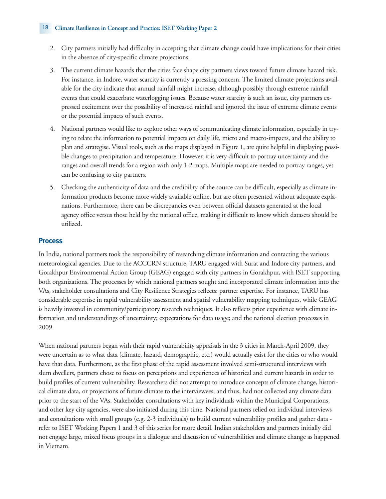#### 18 **Climate Resilience in Concept and Practice: ISET Working Paper 2**

- 2. City partners initially had difficulty in accepting that climate change could have implications for their cities in the absence of city-specific climate projections.
- 3. The current climate hazards that the cities face shape city partners views toward future climate hazard risk. For instance, in Indore, water scarcity is currently a pressing concern. The limited climate projections available for the city indicate that annual rainfall might increase, although possibly through extreme rainfall events that could exacerbate waterlogging issues. Because water scarcity is such an issue, city partners expressed excitement over the possibility of increased rainfall and ignored the issue of extreme climate events or the potential impacts of such events.
- 4. National partners would like to explore other ways of communicating climate information, especially in trying to relate the information to potential impacts on daily life, micro and macro-impacts, and the ability to plan and strategise. Visual tools, such as the maps displayed in Figure 1, are quite helpful in displaying possible changes to precipitation and temperature. However, it is very difficult to portray uncertainty and the ranges and overall trends for a region with only 1-2 maps. Multiple maps are needed to portray ranges, yet can be confusing to city partners.
- 5. Checking the authenticity of data and the credibility of the source can be difficult, especially as climate information products become more widely available online, but are often presented without adequate explanations. Furthermore, there can be discrepancies even between official datasets generated at the local agency office versus those held by the national office, making it difficult to know which datasets should be utilized.

### **Process**

In India, national partners took the responsibility of researching climate information and contacting the various meteorological agencies. Due to the ACCCRN structure, TARU engaged with Surat and Indore city partners, and Gorakhpur Environmental Action Group (GEAG) engaged with city partners in Gorakhpur, with ISET supporting both organizations. The processes by which national partners sought and incorporated climate information into the VAs, stakeholder consultations and City Resilience Strategies reflects: partner expertise. For instance, TARU has considerable expertise in rapid vulnerability assessment and spatial vulnerability mapping techniques, while GEAG is heavily invested in community/participatory research techniques. It also reflects prior experience with climate information and understandings of uncertainty; expectations for data usage; and the national election processes in 2009.

When national partners began with their rapid vulnerability appraisals in the 3 cities in March-April 2009, they were uncertain as to what data (climate, hazard, demographic, etc.) would actually exist for the cities or who would have that data. Furthermore, as the first phase of the rapid assessment involved semi-structured interviews with slum dwellers, partners chose to focus on perceptions and experiences of historical and current hazards in order to build profiles of current vulnerability. Researchers did not attempt to introduce concepts of climate change, historical climate data, or projections of future climate to the interviewees; and thus, had not collected any climate data prior to the start of the VAs. Stakeholder consultations with key individuals within the Municipal Corporations, and other key city agencies, were also initiated during this time. National partners relied on individual interviews and consultations with small groups (e.g. 2-3 individuals) to build current vulnerability profiles and gather data refer to ISET Working Papers 1 and 3 of this series for more detail. Indian stakeholders and partners initially did not engage large, mixed focus groups in a dialogue and discussion of vulnerabilities and climate change as happened in Vietnam.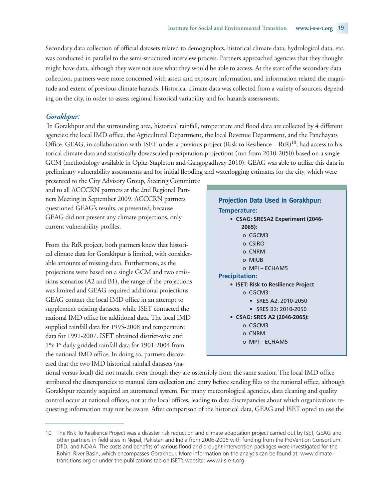Secondary data collection of official datasets related to demographics, historical climate data, hydrological data, etc. was conducted in parallel to the semi-structured interview process. Partners approached agencies that they thought might have data, although they were not sure what they would be able to access. At the start of the secondary data collection, partners were more concerned with assets and exposure information, and information related the magnitude and extent of previous climate hazards. Historical climate data was collected from a variety of sources, depending on the city, in order to assess regional historical variability and for hazards assessments.

#### *Gorakhpur:*

In Gorakhpur and the surrounding area, historical rainfall, temperature and flood data are collected by 4 different agencies: the local IMD office, the Agricultural Department, the local Revenue Department, and the Panchayats Office. GEAG, in collaboration with ISET under a previous project (Risk to Resilience – RtR)<sup>10</sup>, had access to historical climate data and statistically downscaled precipitation projections (run from 2010-2050) based on a single GCM (methodology available in Opitz-Stapleton and Gangopadhyay 2010). GEAG was able to utilize this data in preliminary vulnerability assessments and for initial flooding and waterlogging estimates for the city, which were

presented to the City Advisory Group, Steering Committee and to all ACCCRN partners at the 2nd Regional Partners Meeting in September 2009. ACCCRN partners questioned GEAG's results, as presented, because GEAG did not present any climate projections, only current vulnerability profiles.

From the RtR project, both partners knew that historical climate data for Gorakhpur is limited, with considerable amounts of missing data. Furthermore, as the projections were based on a single GCM and two emissions scenarios (A2 and B1), the range of the projections was limited and GEAG required additional projections. GEAG contact the local IMD office in an attempt to supplement existing datasets, while ISET contacted the national IMD office for additional data. The local IMD supplied rainfall data for 1995-2008 and temperature data for 1991-2007. ISET obtained district-wise and 1°x 1° daily gridded rainfall data for 1901-2004 from the national IMD office. In doing so, partners discovered that the two IMD historical rainfall datasets (na-

| <b>Projection Data Used in Gorakhpur:</b> |
|-------------------------------------------|
| Temperature:                              |
| • CSAG: SRESA2 Experiment (2046-          |
| 2065):                                    |
| o CGCM3                                   |
| o CSIRO                                   |
| o CNRM                                    |
| o MIUR                                    |
| $O$ MPI – ECHAM5                          |
| <b>Precipitation:</b>                     |
| • ISET: Risk to Resilience Project        |
| OCGCM3                                    |
| $\bullet$ SRES A2: 2010-2050              |
| $\bullet$ SRES B2: 2010-2050              |
| • CSAG: SRES A2 (2046-2065):              |
| o CGCM3                                   |
| o CNRM                                    |
| o MPI – ECHAM5                            |
|                                           |

tional versus local) did not match, even though they are ostensibly from the same station. The local IMD office attributed the discrepancies to manual data collection and entry before sending files to the national office, although Gorakhpur recently acquired an automated system. For many meteorological agencies, data cleaning and quality control occur at national offices, not at the local offices, leading to data discrepancies about which organizations requesting information may not be aware. After comparison of the historical data, GEAG and ISET opted to use the

<sup>10</sup> The Risk To Resilience Project was a disaster risk reduction and climate adaptation project carried out by ISET, GEAG and other partners in field sites in Nepal, Pakistan and India from 2006-2006 with funding from the ProVention Consortium, DfID, and NOAA. The costs and benefits of various flood and drought intervention packages were investigated for the Rohini River Basin, which encompasses Gorakhpur. More information on the analysis can be found at: www.climatetransitions.org or under the publications tab on ISET's website: www.i-s-e-t.org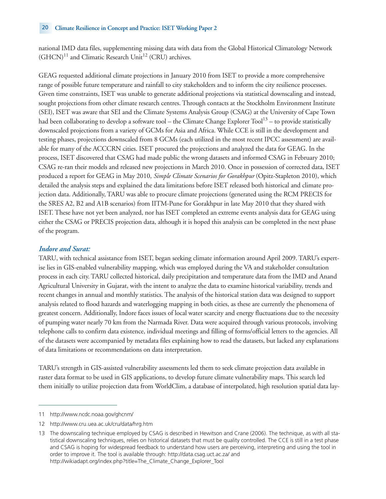national IMD data files, supplementing missing data with data from the Global Historical Climatology Network  $(GHCN)^{11}$  and Climatic Research Unit<sup>12</sup> (CRU) archives.

GEAG requested additional climate projections in January 2010 from ISET to provide a more comprehensive range of possible future temperature and rainfall to city stakeholders and to inform the city resilience processes. Given time constraints, ISET was unable to generate additional projections via statistical downscaling and instead, sought projections from other climate research centres. Through contacts at the Stockholm Environment Institute (SEI), ISET was aware that SEI and the Climate Systems Analysis Group (CSAG) at the University of Cape Town had been collaborating to develop a software tool – the Climate Change Explorer Tool<sup>13</sup> – to provide statistically downscaled projections from a variety of GCMs for Asia and Africa. While CCE is still in the development and testing phases, projections downscaled from 8 GCMs (each utilized in the most recent IPCC assessment) are available for many of the ACCCRN cities. ISET procured the projections and analyzed the data for GEAG. In the process, ISET discovered that CSAG had made public the wrong datasets and informed CSAG in February 2010; CSAG re-ran their models and released new projections in March 2010. Once in possession of corrected data, ISET produced a report for GEAG in May 2010, *Simple Climate Scenarios for Gorakhpur* (Opitz-Stapleton 2010), which detailed the analysis steps and explained the data limitations before ISET released both historical and climate projection data. Additionally, TARU was able to procure climate projections (generated using the RCM PRECIS for the SRES A2, B2 and A1B scenarios) from IITM-Pune for Gorakhpur in late May 2010 that they shared with ISET. These have not yet been analyzed, nor has ISET completed an extreme events analysis data for GEAG using either the CSAG or PRECIS projection data, although it is hoped this analysis can be completed in the next phase of the program.

### *Indore and Surat:*

TARU, with technical assistance from ISET, began seeking climate information around April 2009. TARU's expertise lies in GIS-enabled vulnerability mapping, which was employed during the VA and stakeholder consultation process in each city. TARU collected historical, daily precipitation and temperature data from the IMD and Anand Agricultural University in Gujarat, with the intent to analyze the data to examine historical variability, trends and recent changes in annual and monthly statistics. The analysis of the historical station data was designed to support analysis related to flood hazards and waterlogging mapping in both cities, as these are currently the phenomena of greatest concern. Additionally, Indore faces issues of local water scarcity and energy fluctuations due to the necessity of pumping water nearly 70 km from the Narmada River. Data were acquired through various protocols, involving telephone calls to confirm data existence, individual meetings and filling of forms/official letters to the agencies. All of the datasets were accompanied by metadata files explaining how to read the datasets, but lacked any explanations of data limitations or recommendations on data interpretation.

TARU's strength in GIS-assisted vulnerability assessments led them to seek climate projection data available in raster data format to be used in GIS applications, to develop future climate vulnerability maps. This search led them initially to utilize projection data from WorldClim, a database of interpolated, high resolution spatial data lay-

<sup>11</sup> http://www.ncdc.noaa.gov/ghcnm/

<sup>12</sup> http://www.cru.uea.ac.uk/cru/data/hrg.htm

<sup>13</sup> The downscaling technique employed by CSAG is described in Hewitson and Crane (2006). The technique, as with all statistical downscaling techniques, relies on historical datasets that must be quality controlled. The CCE is still in a test phase and CSAG is hoping for widespread feedback to understand how users are perceiving, interpreting and using the tool in order to improve it. The tool is available through: http://data.csag.uct.ac.za/ and http://wikiadapt.org/index.php?title=The\_Climate\_Change\_Explorer\_Tool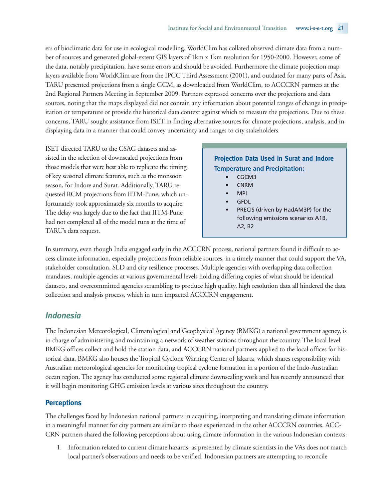ers of bioclimatic data for use in ecological modelling. WorldClim has collated observed climate data from a number of sources and generated global-extent GIS layers of 1km x 1km resolution for 1950-2000. However, some of the data, notably precipitation, have some errors and should be avoided. Furthermore the climate projection map layers available from WorldClim are from the IPCC Third Assessment (2001), and outdated for many parts of Asia. TARU presented projections from a single GCM, as downloaded from WorldClim, to ACCCRN partners at the 2nd Regional Partners Meeting in September 2009. Partners expressed concerns over the projections and data sources, noting that the maps displayed did not contain any information about potential ranges of change in precipitation or temperature or provide the historical data context against which to measure the projections. Due to these concerns, TARU sought assistance from ISET in finding alternative sources for climate projections, analysis, and in displaying data in a manner that could convey uncertainty and ranges to city stakeholders.

ISET directed TARU to the CSAG datasets and assisted in the selection of downscaled projections from those models that were best able to replicate the timing of key seasonal climate features, such as the monsoon season, for Indore and Surat. Additionally, TARU requested RCM projections from IITM-Pune, which unfortunately took approximately six months to acquire. The delay was largely due to the fact that IITM-Pune had not completed all of the model runs at the time of TARU's data request.

# **Projection Data Used in Surat and Indore Temperature and Precipitation:**

- CGCM3
- CNRM
- MPI
- GFDL
- PRECIS (driven by HadAM3P) for the following emissions scenarios A1B, A2, B2

In summary, even though India engaged early in the ACCCRN process, national partners found it difficult to access climate information, especially projections from reliable sources, in a timely manner that could support the VA, stakeholder consultation, SLD and city resilience processes. Multiple agencies with overlapping data collection mandates, multiple agencies at various governmental levels holding differing copies of what should be identical datasets, and overcommitted agencies scrambling to produce high quality, high resolution data all hindered the data collection and analysis process, which in turn impacted ACCCRN engagement.

# *Indonesia*

The Indonesian Meteorological, Climatological and Geophysical Agency (BMKG) a national government agency, is in charge of administering and maintaining a network of weather stations throughout the country. The local-level BMKG offices collect and hold the station data, and ACCCRN national partners applied to the local offices for historical data. BMKG also houses the Tropical Cyclone Warning Center of Jakarta, which shares responsibility with Australian meteorological agencies for monitoring tropical cyclone formation in a portion of the Indo-Australian ocean region. The agency has conducted some regional climate downscaling work and has recently announced that it will begin monitoring GHG emission levels at various sites throughout the country.

# **Perceptions**

The challenges faced by Indonesian national partners in acquiring, interpreting and translating climate information in a meaningful manner for city partners are similar to those experienced in the other ACCCRN countries. ACC-CRN partners shared the following perceptions about using climate information in the various Indonesian contexts:

1. Information related to current climate hazards, as presented by climate scientists in the VAs does not match local partner's observations and needs to be verified. Indonesian partners are attempting to reconcile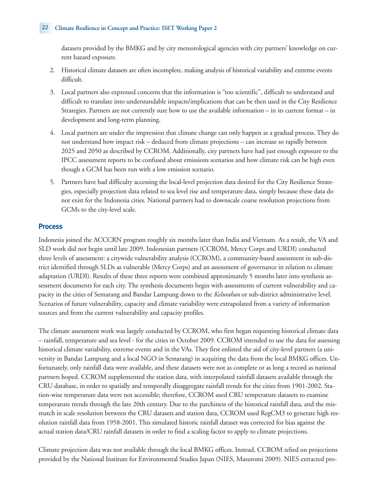#### 22 **Climate Resilience in Concept and Practice: ISET Working Paper 2**

datasets provided by the BMKG and by city meteorological agencies with city partners' knowledge on current hazard exposure.

- 2. Historical climate datasets are often incomplete, making analysis of historical variability and extreme events difficult.
- 3. Local partners also expressed concerns that the information is "too scientific", difficult to understand and difficult to translate into understandable impacts/implications that can be then used in the City Resilience Strategies. Partners are not currently sure how to use the available information – in its current format – in development and long-term planning.
- 4. Local partners are under the impression that climate change can only happen as a gradual process. They do not understand how impact risk – deduced from climate projections – can increase so rapidly between 2025 and 2050 as described by CCROM. Additionally, city partners have had just enough exposure to the IPCC assessment reports to be confused about emissions scenarios and how climate risk can be high even though a GCM has been run with a low emission scenario.
- 5. Partners have had difficulty accessing the local-level projection data desired for the City Resilience Strategies, especially projection data related to sea level rise and temperature data, simply because these data do not exist for the Indonesia cities. National partners had to downscale coarse resolution projections from GCMs to the city-level scale.

# **Process**

Indonesia joined the ACCCRN program roughly six months later than India and Vietnam. As a result, the VA and SLD work did not begin until late 2009. Indonesian partners (CCROM, Mercy Corps and URDI) conducted three levels of assessment: a citywide vulnerability analysis (CCROM), a community-based assessment in sub-district identified through SLDs as vulnerable (Mercy Corps) and an assessment of governance in relation to climate adaptation (URDI). Results of these three reports were combined approximately 5 months later into synthesis assessment documents for each city. The synthesis documents begin with assessments of current vulnerability and capacity in the cities of Semarang and Bandar Lampung down to the *Kelurahan* or sub-district administrative level. Scenarios of future vulnerability, capacity and climate variability were extrapolated from a variety of information sources and from the current vulnerability and capacity profiles.

The climate assessment work was largely conducted by CCROM, who first began requesting historical climate data – rainfall, temperature and sea level - for the cities in October 2009. CCROM intended to use the data for assessing historical climate variability, extreme events and in the VAs. They first enlisted the aid of city-level partners (a university in Bandar Lampung and a local NGO in Semarang) in acquiring the data from the local BMKG offices. Unfortunately, only rainfall data were available, and these datasets were not as complete or as long a record as national partners hoped. CCROM supplemented the station data, with interpolated rainfall datasets available through the CRU database, in order to spatially and temporally disaggregate rainfall trends for the cities from 1901-2002. Station-wise temperature data were not accessible; therefore, CCROM used CRU temperature datasets to examine temperature trends through the late 20th century. Due to the patchiness of the historical rainfall data, and the mismatch in scale resolution between the CRU datasets and station data, CCROM used RegCM3 to generate high resolution rainfall data from 1958-2001. This simulated historic rainfall dataset was corrected for bias against the actual station data/CRU rainfall datasets in order to find a scaling factor to apply to climate projections.

Climate projection data was not available through the local BMKG offices. Instead, CCROM relied on projections provided by the National Institute for Environmental Studies Japan (NIES, Masutomi 2009). NIES extracted pro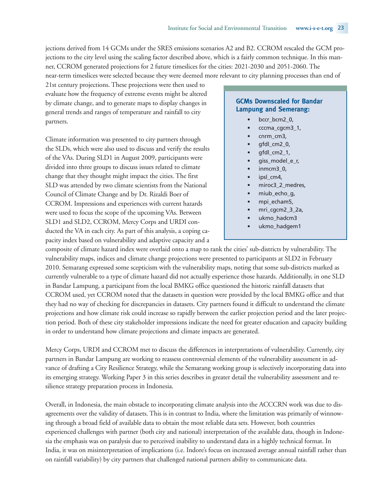jections derived from 14 GCMs under the SRES emissions scenarios A2 and B2. CCROM rescaled the GCM projections to the city level using the scaling factor described above, which is a fairly common technique. In this manner, CCROM generated projections for 2 future timeslices for the cities: 2021-2030 and 2051-2060. The near-term timeslices were selected because they were deemed more relevant to city planning processes than end of

21st century projections. These projections were then used to evaluate how the frequency of extreme events might be altered by climate change, and to generate maps to display changes in general trends and ranges of temperature and rainfall to city partners.

Climate information was presented to city partners through the SLDs, which were also used to discuss and verify the results of the VAs. During SLD1 in August 2009, participants were divided into three groups to discuss issues related to climate change that they thought might impact the cities. The first SLD was attended by two climate scientists from the National Council of Climate Change and by Dr. Rizaldi Boer of CCROM. Impressions and experiences with current hazards were used to focus the scope of the upcoming VAs. Between SLD1 and SLD2, CCROM, Mercy Corps and URDI conducted the VA in each city. As part of this analysis, a coping capacity index based on vulnerability and adaptive capacity and a

### **GCMs Downscaled for Bandar Lampung and Semerang:**

- bccr\_bcm2\_0,
- cccma\_cgcm3\_1,
- cnrm\_cm3,
- gfdl\_cm2\_0,
- gfdl\_cm2\_1,
- giss\_model\_e\_r,
- inmcm3\_0,
- ipsl\_cm4,
- miroc3\_2\_medres,
- miub\_echo\_g,
- mpi\_echam5,
- mri\_cgcm2\_3\_2a,
- ukmo\_hadcm3
- ukmo\_hadgem1

composite of climate hazard index were overlaid onto a map to rank the cities' sub-districts by vulnerability. The vulnerability maps, indices and climate change projections were presented to participants at SLD2 in February 2010. Semarang expressed some scepticism with the vulnerability maps, noting that some sub-districts marked as currently vulnerable to a type of climate hazard did not actually experience those hazards. Additionally, in one SLD in Bandar Lampung, a participant from the local BMKG office questioned the historic rainfall datasets that CCROM used, yet CCROM noted that the datasets in question were provided by the local BMKG office and that they had no way of checking for discrepancies in datasets. City partners found it difficult to understand the climate projections and how climate risk could increase so rapidly between the earlier projection period and the later projection period. Both of these city stakeholder impressions indicate the need for greater education and capacity building in order to understand how climate projections and climate impacts are generated.

Mercy Corps, URDI and CCROM met to discuss the differences in interpretations of vulnerability. Currently, city partners in Bandar Lampung are working to reassess controversial elements of the vulnerability assessment in advance of drafting a City Resilience Strategy, while the Semarang working group is selectively incorporating data into its emerging strategy. Working Paper 3 in this series describes in greater detail the vulnerability assessment and resilience strategy preparation process in Indonesia.

Overall, in Indonesia, the main obstacle to incorporating climate analysis into the ACCCRN work was due to disagreements over the validity of datasets. This is in contrast to India, where the limitation was primarily of winnowing through a broad field of available data to obtain the most reliable data sets. However, both countries experienced challenges with partner (both city and national) interpretation of the available data, though in Indonesia the emphasis was on paralysis due to perceived inability to understand data in a highly technical format. In India, it was on misinterpretation of implications (i.e. Indore's focus on increased average annual rainfall rather than on rainfall variability) by city partners that challenged national partners ability to communicate data.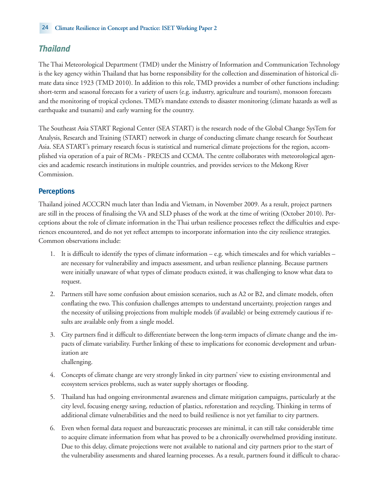# *Thailand*

The Thai Meteorological Department (TMD) under the Ministry of Information and Communication Technology is the key agency within Thailand that has borne responsibility for the collection and dissemination of historical climate data since 1923 (TMD 2010). In addition to this role, TMD provides a number of other functions including: short-term and seasonal forecasts for a variety of users (e.g. industry, agriculture and tourism), monsoon forecasts and the monitoring of tropical cyclones. TMD's mandate extends to disaster monitoring (climate hazards as well as earthquake and tsunami) and early warning for the country.

The Southeast Asia START Regional Center (SEA START) is the research node of the Global Change SysTem for Analysis, Research and Training (START) network in charge of conducting climate change research for Southeast Asia. SEA START's primary research focus is statistical and numerical climate projections for the region, accomplished via operation of a pair of RCMs - PRECIS and CCMA. The centre collaborates with meteorological agencies and academic research institutions in multiple countries, and provides services to the Mekong River Commission.

# **Perceptions**

Thailand joined ACCCRN much later than India and Vietnam, in November 2009. As a result, project partners are still in the process of finalising the VA and SLD phases of the work at the time of writing (October 2010). Perceptions about the role of climate information in the Thai urban resilience processes reflect the difficulties and experiences encountered, and do not yet reflect attempts to incorporate information into the city resilience strategies. Common observations include:

- 1. It is difficult to identify the types of climate information e.g. which timescales and for which variables are necessary for vulnerability and impacts assessment, and urban resilience planning. Because partners were initially unaware of what types of climate products existed, it was challenging to know what data to request.
- 2. Partners still have some confusion about emission scenarios, such as A2 or B2, and climate models, often conflating the two. This confusion challenges attempts to understand uncertainty, projection ranges and the necessity of utilising projections from multiple models (if available) or being extremely cautious if results are available only from a single model.
- 3. City partners find it difficult to differentiate between the long-term impacts of climate change and the impacts of climate variability. Further linking of these to implications for economic development and urbanization are challenging.
- 4. Concepts of climate change are very strongly linked in city partners' view to existing environmental and ecosystem services problems, such as water supply shortages or flooding.
- 5. Thailand has had ongoing environmental awareness and climate mitigation campaigns, particularly at the city level, focusing energy saving, reduction of plastics, reforestation and recycling. Thinking in terms of additional climate vulnerabilities and the need to build resilience is not yet familiar to city partners.
- 6. Even when formal data request and bureaucratic processes are minimal, it can still take considerable time to acquire climate information from what has proved to be a chronically overwhelmed providing institute. Due to this delay, climate projections were not available to national and city partners prior to the start of the vulnerability assessments and shared learning processes. As a result, partners found it difficult to charac-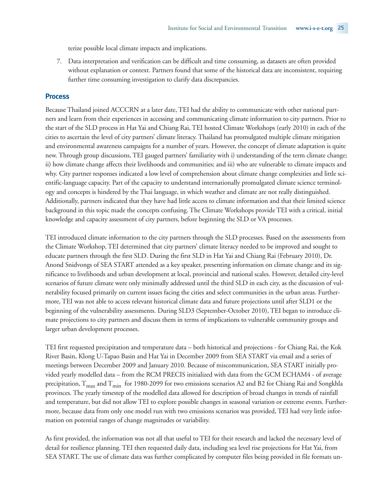terize possible local climate impacts and implications.

7. Data interpretation and verification can be difficult and time consuming, as datasets are often provided without explanation or context. Partners found that some of the historical data are inconsistent, requiring further time consuming investigation to clarify data discrepancies.

#### **Process**

Because Thailand joined ACCCRN at a later date, TEI had the ability to communicate with other national partners and learn from their experiences in accessing and communicating climate information to city partners. Prior to the start of the SLD process in Hat Yai and Chiang Rai, TEI hosted Climate Workshops (early 2010) in each of the cities to ascertain the level of city partners' climate literacy. Thailand has promulgated multiple climate mitigation and environmental awareness campaigns for a number of years. However, the concept of climate adaptation is quite new. Through group discussions, TEI gauged partners' familiarity with i) understanding of the term climate change; ii) how climate change affects their livelihoods and communities; and iii) who are vulnerable to climate impacts and why. City partner responses indicated a low level of comprehension about climate change complexities and little scientific-language capacity. Part of the capacity to understand internationally promulgated climate science terminology and concepts is hindered by the Thai language, in which weather and climate are not really distinguished. Additionally, partners indicated that they have had little access to climate information and that their limited science background in this topic made the concepts confusing. The Climate Workshops provide TEI with a critical, initial knowledge and capacity assessment of city partners, before beginning the SLD or VA processes.

TEI introduced climate information to the city partners through the SLD processes. Based on the assessments from the Climate Workshop, TEI determined that city partners' climate literacy needed to be improved and sought to educate partners through the first SLD. During the first SLD in Hat Yai and Chiang Rai (February 2010), Dr. Anond Snidvongs of SEA START attended as a key speaker, presenting information on climate change and its significance to livelihoods and urban development at local, provincial and national scales. However, detailed city-level scenarios of future climate were only minimally addressed until the third SLD in each city, as the discussion of vulnerability focused primarily on current issues facing the cities and select communities in the urban areas. Furthermore, TEI was not able to access relevant historical climate data and future projections until after SLD1 or the beginning of the vulnerability assessments. During SLD3 (September-October 2010), TEI began to introduce climate projections to city partners and discuss them in terms of implications to vulnerable community groups and larger urban development processes.

TEI first requested precipitation and temperature data – both historical and projections - for Chiang Rai, the Kok River Basin, Klong U-Tapao Basin and Hat Yai in December 2009 from SEA START via email and a series of meetings between December 2009 and January 2010. Because of miscommunication, SEA START initially provided yearly modelled data – from the RCM PRECIS initialized with data from the GCM ECHAM4 - of average precipitation,  $T_{\text{max}}$  and  $T_{\text{min}}$  for 1980-2099 for two emissions scenarios A2 and B2 for Chiang Rai and Songkhla provinces. The yearly timestep of the modelled data allowed for description of broad changes in trends of rainfall and temperature, but did not allow TEI to explore possible changes in seasonal variation or extreme events. Furthermore, because data from only one model run with two emissions scenarios was provided, TEI had very little information on potential ranges of change magnitudes or variability.

As first provided, the information was not all that useful to TEI for their research and lacked the necessary level of detail for resilience planning. TEI then requested daily data, including sea level rise projections for Hat Yai, from SEA START. The use of climate data was further complicated by computer files being provided in file formats un-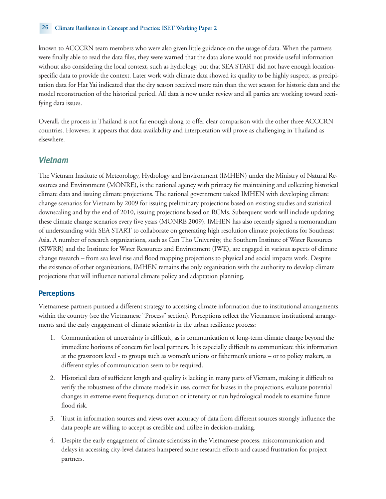#### 26 **Climate Resilience in Concept and Practice: ISET Working Paper 2**

known to ACCCRN team members who were also given little guidance on the usage of data. When the partners were finally able to read the data files, they were warned that the data alone would not provide useful information without also considering the local context, such as hydrology, but that SEA START did not have enough locationspecific data to provide the context. Later work with climate data showed its quality to be highly suspect, as precipitation data for Hat Yai indicated that the dry season received more rain than the wet season for historic data and the model reconstruction of the historical period. All data is now under review and all parties are working toward rectifying data issues.

Overall, the process in Thailand is not far enough along to offer clear comparison with the other three ACCCRN countries. However, it appears that data availability and interpretation will prove as challenging in Thailand as elsewhere.

# *Vietnam*

The Vietnam Institute of Meteorology, Hydrology and Environment (IMHEN) under the Ministry of Natural Resources and Environment (MONRE), is the national agency with primacy for maintaining and collecting historical climate data and issuing climate projections. The national government tasked IMHEN with developing climate change scenarios for Vietnam by 2009 for issuing preliminary projections based on existing studies and statistical downscaling and by the end of 2010, issuing projections based on RCMs. Subsequent work will include updating these climate change scenarios every five years (MONRE 2009). IMHEN has also recently signed a memorandum of understanding with SEA START to collaborate on generating high resolution climate projections for Southeast Asia. A number of research organizations, such as Can Tho University, the Southern Institute of Water Resources (SIWRR) and the Institute for Water Resources and Environment (IWE), are engaged in various aspects of climate change research – from sea level rise and flood mapping projections to physical and social impacts work. Despite the existence of other organizations, IMHEN remains the only organization with the authority to develop climate projections that will influence national climate policy and adaptation planning.

#### **Perceptions**

Vietnamese partners pursued a different strategy to accessing climate information due to institutional arrangements within the country (see the Vietnamese "Process" section). Perceptions reflect the Vietnamese institutional arrangements and the early engagement of climate scientists in the urban resilience process:

- 1. Communication of uncertainty is difficult, as is communication of long-term climate change beyond the immediate horizons of concern for local partners. It is especially difficult to communicate this information at the grassroots level - to groups such as women's unions or fishermen's unions – or to policy makers, as different styles of communication seem to be required.
- 2. Historical data of sufficient length and quality is lacking in many parts of Vietnam, making it difficult to verify the robustness of the climate models in use, correct for biases in the projections, evaluate potential changes in extreme event frequency, duration or intensity or run hydrological models to examine future flood risk.
- 3. Trust in information sources and views over accuracy of data from different sources strongly influence the data people are willing to accept as credible and utilize in decision-making.
- 4. Despite the early engagement of climate scientists in the Vietnamese process, miscommunication and delays in accessing city-level datasets hampered some research efforts and caused frustration for project partners.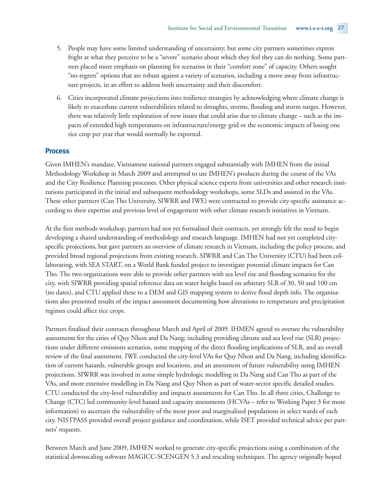- 5. People may have some limited understanding of uncertainty, but some city partners sometimes express fright at what they perceive to be a "severe" scenario about which they feel they can do nothing. Some partners placed more emphasis on planning for scenarios in their "comfort zone" of capacity. Others sought "no-regrets" options that are robust against a variety of scenarios, including a move away from infrastructure projects, in an effort to address both uncertainty and their discomfort.
- 6. Cities incorporated climate projections into resilience strategies by acknowledging where climate change is likely to exacerbate current vulnerabilities related to droughts, storms, flooding and storm surges. However, there was relatively little exploration of new issues that could arise due to climate change – such as the impacts of extended high temperatures on infrastructure/energy grid or the economic impacts of losing one rice crop per year that would normally be exported.

#### **Process**

Given IMHEN's mandate, Vietnamese national partners engaged substantially with IMHEN from the initial Methodology Workshop in March 2009 and attempted to use IMHEN's products during the course of the VAs and the City Resilience Planning processes. Other physical science experts from universities and other research institutions participated in the initial and subsequent methodology workshops, some SLDs and assisted in the VAs. These other partners (Can Tho University, SIWRR and IWE) were contracted to provide city-specific assistance according to their expertise and previous level of engagement with other climate research initiatives in Vietnam.

At the first methods workshop, partners had not yet formalised their contracts, yet strongly felt the need to begin developing a shared understanding of methodology and research language. IMHEN had not yet completed cityspecific projections, but gave partners an overview of climate research in Vietnam, including the policy process, and provided broad regional projections from existing research. SIWRR and Can Tho University (CTU) had been collaborating, with SEA START, on a World Bank funded project to investigate potential climate impacts for Can Tho. The two organizations were able to provide other partners with sea level rise and flooding scenarios for the city, with SIWRR providing spatial reference data on water height based on arbitrary SLR of 30, 50 and 100 cm (no dates), and CTU applied these to a DEM and GIS mapping system to derive flood depth info. The organisations also presented results of the impact assessment documenting how alterations to temperature and precipitation regimes could affect rice crops.

Partners finalised their contracts throughout March and April of 2009. IHMEN agreed to oversee the vulnerability assessments for the cities of Quy Nhon and Da Nang; including providing climate and sea level rise (SLR) projections under different emissions scenarios, some mapping of the direct flooding implications of SLR, and an overall review of the final assessment. IWE conducted the city-level VAs for Quy Nhon and Da Nang, including identification of current hazards, vulnerable groups and locations, and an assessment of future vulnerability using IMHEN projections. SIWRR was involved in some simple hydrologic modelling in Da Nang and Can Tho as part of the VAs, and more extensive modelling in Da Nang and Quy Nhon as part of water-sector specific detailed studies. CTU conducted the city-level vulnerability and impacts assessments for Can Tho. In all three cities, Challenge to Change (CTC) led community-level hazard and capacity assessments (HCVAs – refer to Working Paper 3 for more information) to ascertain the vulnerability of the most poor and marginalised populations in select wards of each city. NISTPASS provided overall project guidance and coordination, while ISET provided technical advice per partners' requests.

Between March and June 2009, IMHEN worked to generate city-specific projections using a combination of the statistical downscaling software MAGICC-SCENGEN 5.3 and rescaling techniques. The agency originally hoped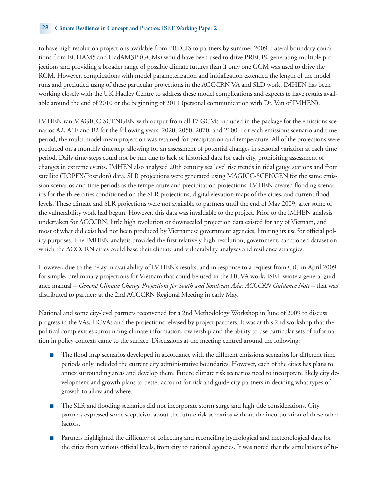to have high resolution projections available from PRECIS to partners by summer 2009. Lateral boundary conditions from ECHAM5 and HadAM3P (GCMs) would have been used to drive PRECIS, generating multiple projections and providing a broader range of possible climate futures than if only one GCM was used to drive the RCM. However, complications with model parameterization and initialization extended the length of the model runs and precluded using of these particular projections in the ACCCRN VA and SLD work. IMHEN has been working closely with the UK Hadley Centre to address these model complications and expects to have results available around the end of 2010 or the beginning of 2011 (personal communication with Dr. Van of IMHEN).

IMHEN ran MAGICC-SCENGEN with output from all 17 GCMs included in the package for the emissions scenarios A2, A1F and B2 for the following years: 2020, 2050, 2070, and 2100. For each emissions scenario and time period, the multi-model mean projection was retained for precipitation and temperature. All of the projections were produced on a monthly timestep, allowing for an assessment of potential changes in seasonal variation at each time period. Daily time-steps could not be run due to lack of historical data for each city, prohibiting assessment of changes in extreme events. IMHEN also analyzed 20th century sea level rise trends in tidal gauge stations and from satellite (TOPEX/Poseidon) data. SLR projections were generated using MAGICC-SCENGEN for the same emission scenarios and time periods as the temperature and precipitation projections. IMHEN created flooding scenarios for the three cities conditioned on the SLR projections, digital elevation maps of the cities, and current flood levels. These climate and SLR projections were not available to partners until the end of May 2009, after some of the vulnerability work had begun. However, this data was invaluable to the project. Prior to the IMHEN analysis undertaken for ACCCRN, little high resolution or downscaled projection data existed for any of Vietnam, and most of what did exist had not been produced by Vietnamese government agencies, limiting its use for official policy purposes. The IMHEN analysis provided the first relatively high-resolution, government, sanctioned dataset on which the ACCCRN cities could base their climate and vulnerability analyzes and resilience strategies.

However, due to the delay in availability of IMHEN's results, and in response to a request from CtC in April 2009 for simple, preliminary projections for Vietnam that could be used in the HCVA work, ISET wrote a general guidance manual – *General Climate Change Projections for South and Southeast Asia: ACCCRN Guidance Note* – that was distributed to partners at the 2nd ACCCRN Regional Meeting in early May.

National and some city-level partners reconvened for a 2nd Methodology Workshop in June of 2009 to discuss progress in the VAs, HCVAs and the projections released by project partners. It was at this 2nd workshop that the political complexities surrounding climate information, ownership and the ability to use particular sets of information in policy contexts came to the surface. Discussions at the meeting centred around the following:

- The flood map scenarios developed in accordance with the different emissions scenarios for different time periods only included the current city administrative boundaries. However, each of the cities has plans to annex surrounding areas and develop them. Future climate risk scenarios need to incorporate likely city development and growth plans to better account for risk and guide city partners in deciding what types of growth to allow and where.
- The SLR and flooding scenarios did not incorporate storm surge and high tide considerations. City partners expressed some scepticism about the future risk scenarios without the incorporation of these other factors.
- Partners highlighted the difficulty of collecting and reconciling hydrological and meteorological data for the cities from various official levels, from city to national agencies. It was noted that the simulations of fu-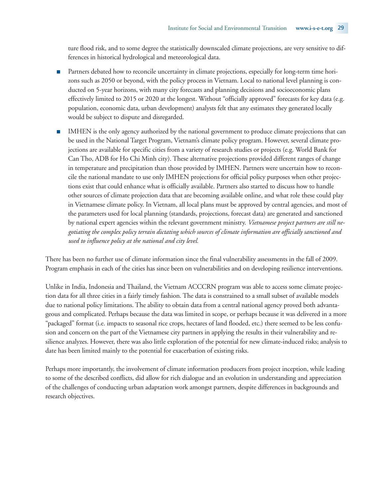ture flood risk, and to some degree the statistically downscaled climate projections, are very sensitive to differences in historical hydrological and meteorological data.

- Partners debated how to reconcile uncertainty in climate projections, especially for long-term time horizons such as 2050 or beyond, with the policy process in Vietnam. Local to national level planning is conducted on 5-year horizons, with many city forecasts and planning decisions and socioeconomic plans effectively limited to 2015 or 2020 at the longest. Without "officially approved" forecasts for key data (e.g. population, economic data, urban development) analysts felt that any estimates they generated locally would be subject to dispute and disregarded.
- IMHEN is the only agency authorized by the national government to produce climate projections that can be used in the National Target Program, Vietnam's climate policy program. However, several climate projections are available for specific cities from a variety of research studies or projects (e.g. World Bank for Can Tho, ADB for Ho Chi Minh city). These alternative projections provided different ranges of change in temperature and precipitation than those provided by IMHEN. Partners were uncertain how to reconcile the national mandate to use only IMHEN projections for official policy purposes when other projections exist that could enhance what is officially available. Partners also started to discuss how to handle other sources of climate projection data that are becoming available online, and what role these could play in Vietnamese climate policy. In Vietnam, all local plans must be approved by central agencies, and most of the parameters used for local planning (standards, projections, forecast data) are generated and sanctioned by national expert agencies within the relevant government ministry. *Vietnamese project partners are still negotiating the complex policy terrain dictating which sources of climate information are officially sanctioned and used to influence policy at the national and city level.*

There has been no further use of climate information since the final vulnerability assessments in the fall of 2009. Program emphasis in each of the cities has since been on vulnerabilities and on developing resilience interventions.

Unlike in India, Indonesia and Thailand, the Vietnam ACCCRN program was able to access some climate projection data for all three cities in a fairly timely fashion. The data is constrained to a small subset of available models due to national policy limitations. The ability to obtain data from a central national agency proved both advantageous and complicated. Perhaps because the data was limited in scope, or perhaps because it was delivered in a more "packaged" format (i.e. impacts to seasonal rice crops, hectares of land flooded, etc.) there seemed to be less confusion and concern on the part of the Vietnamese city partners in applying the results in their vulnerability and resilience analyzes. However, there was also little exploration of the potential for new climate-induced risks; analysis to date has been limited mainly to the potential for exacerbation of existing risks.

Perhaps more importantly, the involvement of climate information producers from project inception, while leading to some of the described conflicts, did allow for rich dialogue and an evolution in understanding and appreciation of the challenges of conducting urban adaptation work amongst partners, despite differences in backgrounds and research objectives.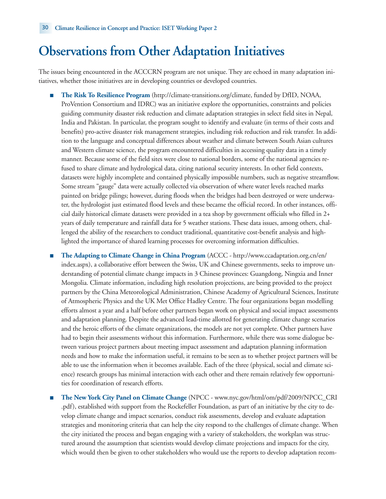# **Observations from Other Adaptation Initiatives**

The issues being encountered in the ACCCRN program are not unique. They are echoed in many adaptation initiatives, whether those initiatives are in developing countries or developed countries.

- **The Risk To Resilience Program** (http://climate-transitions.org/climate, funded by DfID, NOAA, ProVention Consortium and IDRC) was an initiative explore the opportunities, constraints and policies guiding community disaster risk reduction and climate adaptation strategies in select field sites in Nepal, India and Pakistan. In particular, the program sought to identify and evaluate (in terms of their costs and benefits) pro-active disaster risk management strategies, including risk reduction and risk transfer. In addition to the language and conceptual differences about weather and climate between South Asian cultures and Western climate science, the program encountered difficulties in accessing quality data in a timely manner. Because some of the field sites were close to national borders, some of the national agencies refused to share climate and hydrological data, citing national security interests. In other field contexts, datasets were highly incomplete and contained physically impossible numbers, such as negative streamflow. Some stream "gauge" data were actually collected via observation of where water levels reached marks painted on bridge pilings; however, during floods when the bridges had been destroyed or were underwater, the hydrologist just estimated flood levels and these became the official record. In other instances, official daily historical climate datasets were provided in a tea shop by government officials who filled in 2+ years of daily temperature and rainfall data for 5 weather stations. These data issues, among others, challenged the ability of the researchers to conduct traditional, quantitative cost-benefit analysis and highlighted the importance of shared learning processes for overcoming information difficulties.
- **The Adapting to Climate Change in China Program** (ACCC http://www.ccadaptation.org.cn/en/ index.aspx), a collaborative effort between the Swiss, UK and Chinese governments, seeks to improve understanding of potential climate change impacts in 3 Chinese provinces: Guangdong, Ningxia and Inner Mongolia. Climate information, including high resolution projections, are being provided to the project partners by the China Meteorological Administration, Chinese Academy of Agricultural Sciences, Institute of Atmospheric Physics and the UK Met Office Hadley Centre. The four organizations began modelling efforts almost a year and a half before other partners began work on physical and social impact assessments and adaptation planning. Despite the advanced lead-time allotted for generating climate change scenarios and the heroic efforts of the climate organizations, the models are not yet complete. Other partners have had to begin their assessments without this information. Furthermore, while there was some dialogue between various project partners about meeting impact assessment and adaptation planning information needs and how to make the information useful, it remains to be seen as to whether project partners will be able to use the information when it becomes available. Each of the three (physical, social and climate science) research groups has minimal interaction with each other and there remain relatively few opportunities for coordination of research efforts.
- **The New York City Panel on Climate Change** (NPCC www.nyc.gov/html/om/pdf/2009/NPCC\_CRI .pdf), established with support from the Rockefeller Foundation, as part of an initiative by the city to develop climate change and impact scenarios, conduct risk assessments, develop and evaluate adaptation strategies and monitoring criteria that can help the city respond to the challenges of climate change. When the city initiated the process and began engaging with a variety of stakeholders, the workplan was structured around the assumption that scientists would develop climate projections and impacts for the city, which would then be given to other stakeholders who would use the reports to develop adaptation recom-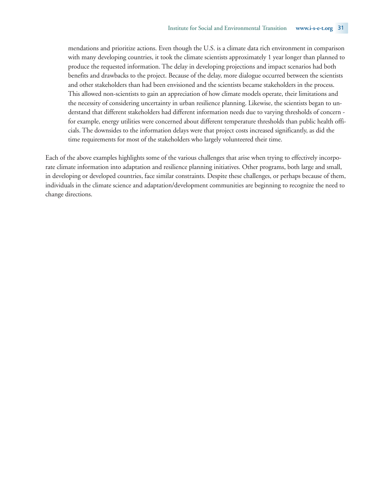mendations and prioritize actions. Even though the U.S. is a climate data rich environment in comparison with many developing countries, it took the climate scientists approximately 1 year longer than planned to produce the requested information. The delay in developing projections and impact scenarios had both benefits and drawbacks to the project. Because of the delay, more dialogue occurred between the scientists and other stakeholders than had been envisioned and the scientists became stakeholders in the process. This allowed non-scientists to gain an appreciation of how climate models operate, their limitations and the necessity of considering uncertainty in urban resilience planning. Likewise, the scientists began to understand that different stakeholders had different information needs due to varying thresholds of concern for example, energy utilities were concerned about different temperature thresholds than public health officials. The downsides to the information delays were that project costs increased significantly, as did the time requirements for most of the stakeholders who largely volunteered their time.

Each of the above examples highlights some of the various challenges that arise when trying to effectively incorporate climate information into adaptation and resilience planning initiatives. Other programs, both large and small, in developing or developed countries, face similar constraints. Despite these challenges, or perhaps because of them, individuals in the climate science and adaptation/development communities are beginning to recognize the need to change directions.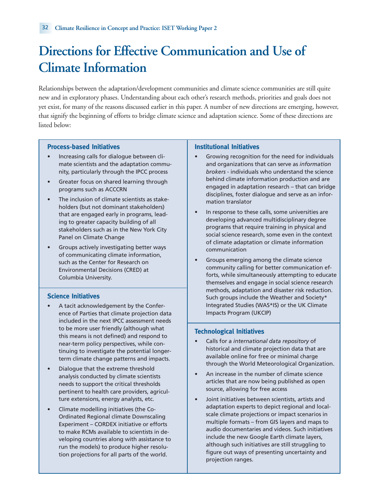# **Directions for Effective Communication and Use of Climate Information**

Relationships between the adaptation/development communities and climate science communities are still quite new and in exploratory phases. Understanding about each other's research methods, priorities and goals does not yet exist, for many of the reasons discussed earlier in this paper. A number of new directions are emerging, however, that signify the beginning of efforts to bridge climate science and adaptation science. Some of these directions are listed below:

#### **Process-based Initiatives**

- Increasing calls for dialogue between climate scientists and the adaptation community, particularly through the IPCC process
- Greater focus on shared learning through programs such as ACCCRN
- The inclusion of climate scientists as stakeholders (but not dominant stakeholders) that are engaged early in programs, leading to greater capacity building of all stakeholders such as in the New York City Panel on Climate Change
- Groups actively investigating better ways of communicating climate information, such as the Center for Research on Environmental Decisions (CRED) at Columbia University.

#### **Science Initiatives**

- A tacit acknowledgement by the Conference of Parties that climate projection data included in the next IPCC assessment needs to be more user friendly (although what this means is not defined) and respond to near-term policy perspectives, while continuing to investigate the potential longerterm climate change patterns and impacts.
- Dialogue that the extreme threshold analysis conducted by climate scientists needs to support the critical thresholds pertinent to health care providers, agriculture extensions, energy analysts, etc.
- Climate modelling initiatives (the Co-Ordinated Regional climate Downscaling Experiment – CORDEX initiative or efforts to make RCMs available to scientists in developing countries along with assistance to run the models) to produce higher resolution projections for all parts of the world.

#### **Institutional Initiatives**

- Growing recognition for the need for individuals and organizations that can serve as *information brokers* - individuals who understand the science behind climate information production and are engaged in adaptation research – that can bridge disciplines, foster dialogue and serve as an information translator
- In response to these calls, some universities are developing advanced multidisciplinary degree programs that require training in physical and social science research, some even in the context of climate adaptation or climate information communication
- Groups emerging among the climate science community calling for better communication efforts, while simultaneously attempting to educate themselves and engage in social science research methods, adaptation and disaster risk reduction. Such groups include the Weather and Society\* Integrated Studies (WAS\*IS) or the UK Climate Impacts Program (UKCIP)

#### **Technological Initiatives**

- Calls for a *international data repository* of historical and climate projection data that are available online for free or minimal charge through the World Meteorological Organization.
- An increase in the number of climate science articles that are now being published as open source, allowing for free access
- Joint initiatives between scientists, artists and adaptation experts to depict regional and localscale climate projections or impact scenarios in multiple formats – from GIS layers and maps to audio documentaries and videos. Such initiatives include the new Google Earth climate layers, although such initiatives are still struggling to figure out ways of presenting uncertainty and projection ranges.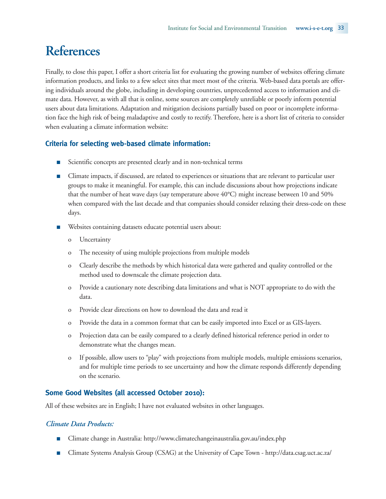# **References**

Finally, to close this paper, I offer a short criteria list for evaluating the growing number of websites offering climate information products, and links to a few select sites that meet most of the criteria. Web-based data portals are offering individuals around the globe, including in developing countries, unprecedented access to information and climate data. However, as with all that is online, some sources are completely unreliable or poorly inform potential users about data limitations. Adaptation and mitigation decisions partially based on poor or incomplete information face the high risk of being maladaptive and costly to rectify. Therefore, here is a short list of criteria to consider when evaluating a climate information website:

# **Criteria for selecting web-based climate information:**

- Scientific concepts are presented clearly and in non-technical terms
- Climate impacts, if discussed, are related to experiences or situations that are relevant to particular user groups to make it meaningful. For example, this can include discussions about how projections indicate that the number of heat wave days (say temperature above 40°C) might increase between 10 and 50% when compared with the last decade and that companies should consider relaxing their dress-code on these days.
- Websites containing datasets educate potential users about:
	- o Uncertainty
	- o The necessity of using multiple projections from multiple models
	- o Clearly describe the methods by which historical data were gathered and quality controlled or the method used to downscale the climate projection data.
	- o Provide a cautionary note describing data limitations and what is NOT appropriate to do with the data.
	- o Provide clear directions on how to download the data and read it
	- o Provide the data in a common format that can be easily imported into Excel or as GIS-layers.
	- o Projection data can be easily compared to a clearly defined historical reference period in order to demonstrate what the changes mean.
	- o If possible, allow users to "play" with projections from multiple models, multiple emissions scenarios, and for multiple time periods to see uncertainty and how the climate responds differently depending on the scenario.

# **Some Good Websites (all accessed October 2010):**

All of these websites are in English; I have not evaluated websites in other languages.

### *Climate Data Products:*

- Climate change in Australia: http://www.climatechangeinaustralia.gov.au/index.php
- Climate Systems Analysis Group (CSAG) at the University of Cape Town http://data.csag.uct.ac.za/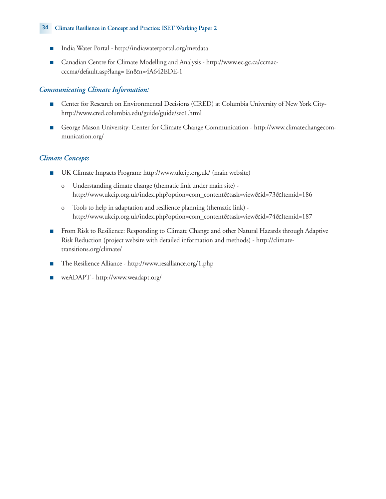#### 34 **Climate Resilience in Concept and Practice: ISET Working Paper 2**

- India Water Portal http://indiawaterportal.org/metdata
- Canadian Centre for Climate Modelling and Analysis http://www.ec.gc.ca/ccmaccccma/default.asp?lang= En&n=4A642EDE-1

# *Communicating Climate Information:*

- Center for Research on Environmental Decisions (CRED) at Columbia University of New York Cityhttp://www.cred.columbia.edu/guide/guide/sec1.html
- George Mason University: Center for Climate Change Communication http://www.climatechangecommunication.org/

# *Climate Concepts*

- UK Climate Impacts Program: http://www.ukcip.org.uk/ (main website)
	- o Understanding climate change (thematic link under main site) http://www.ukcip.org.uk/index.php?option=com\_content&task=view&id=73&Itemid=186
	- o Tools to help in adaptation and resilience planning (thematic link) http://www.ukcip.org.uk/index.php?option=com\_content&task=view&id=74&Itemid=187
- From Risk to Resilience: Responding to Climate Change and other Natural Hazards through Adaptive Risk Reduction (project website with detailed information and methods) - http://climatetransitions.org/climate/
- The Resilience Alliance http://www.resalliance.org/1.php
- weADAPT http://www.weadapt.org/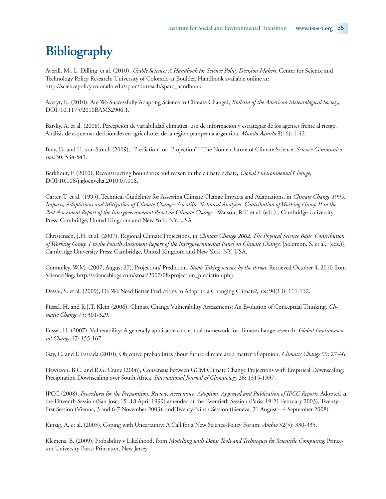# **Bibliography**

Averill, M., L. Dilling, et al. (2010), *Usable Science: A Handbook for Science Policy Decision Makers*, Center for Science and Technology Policy Research: University of Colorado at Boulder. Handbook available online at: http://sciencepolicy.colorado.edu/sparc/outreach/sparc\_handbook.

Averyt, K. (2010), Are We Successfully Adapting Science to Climate Change?, *Bulletin of the American Meteorological Society*, DOI: 10.1175/2010BAMS2906.1.

Barsky, A. et al. (2008), Percepción de variabilidad climática, uso de información y estrategias de los agentes frente al riesgo. Análisis de esquemas decisionales en agricultores de la region pampeana argentina, *Mundo Agrarlo* 8(16): 1-42.

Bray, D. and H. von Storch (2009), "Prediction" or "Projection"?: The Nomenclature of Climate Science, *Science Communication* 30: 534-543.

Berkhout, F. (2010), Reconstructing boundaries and reason in the climate debate, *Global Environmental Change*, DOI:10.106/j.gloenvcha.2010.07.006.

Carter, T. et al. (1995), Technical Guidelines for Assessing Climate Change Impacts and Adaptations, in *Climate Change 1995. Impacts, Adaptations and Mitigation of Climate Change: Scientific-Technical Analyzes. Contribution of Working Group II to the 2nd Assessment Report of the Intergovernmental Panel on Climate Change*, [Watson, R.T. et al. (eds.)], Cambridge University Press: Cambridge, United Kingdom and New York, NY, USA.

Christensen, J.H. et al. (2007), Regional Climate Projections, in *Climate Change 2002: The Physical Science Basis. Contribution of Working Group 1 to the Fourth Assessment Report of the Intergovernmental Panel on Climate Change*, [Solomon, S. et al., (eds.)], Cambridge University Press: Cambridge, United Kingdom and New York, NY, USA.

Connolley, W.M. (2007, August 27), Projection/ Prediction, *Stoat: Taking science by the throat*. Retrieved October 4, 2010 from ScienceBlog: http://scienceblogs.com/stoat/2007/08/projection\_prediction.php.

Dessai, S. et al. (2009), Do We Need Better Predictions to Adapt to a Changing Climate?, *Eos* 90(13): 111-112.

Füssel, H. and R.J.T. Klein (2006), Climate Change Vulnerability Assessments: An Evolution of Conceptual Thinking, *Climatic Change* 75: 301-329.

Füssel, H. (2007), Vulnerability: A generally applicable conceptual framework for climate change research, *Global Environmental Change* 17: 155-167.

Gay, C. and F. Estrada (2010), Objective probabilities about future climate are a matter of opinion, *Climatic Change* 99: 27-46.

Hewitson, B.C. and R.G. Crane (2006), Consensus between GCM Climate Change Projections with Empirical Downscaling: Precipitation Downscaling over South Africa, *International Journal of Climatology* 26: 1315-1337.

IPCC (2008), *Procedures for the Preparation, Review, Acceptance, Adoption, Approval and Publication of IPCC Reports*, Adopted at the Fifteenth Session (San Jose, 15- 18 April 1999) amended at the Twentieth Session (Paris, 19-21 February 2003), Twentyfirst Session (Vienna, 3 and 6-7 November 2003), and Twenty-Ninth Session (Geneva, 31 August – 4 September 2008).

Kinzig, A. et al. (2003), Coping with Uncertainty: A Call for a New Science-Policy Forum, *Ambio* 32(5): 330-335.

Klemens, B. (2009), Probability v Likelihood, from *Modelling with Data: Tools and Techniques for Scientific Computing*, Princeton University Press: Princeton, New Jersey.